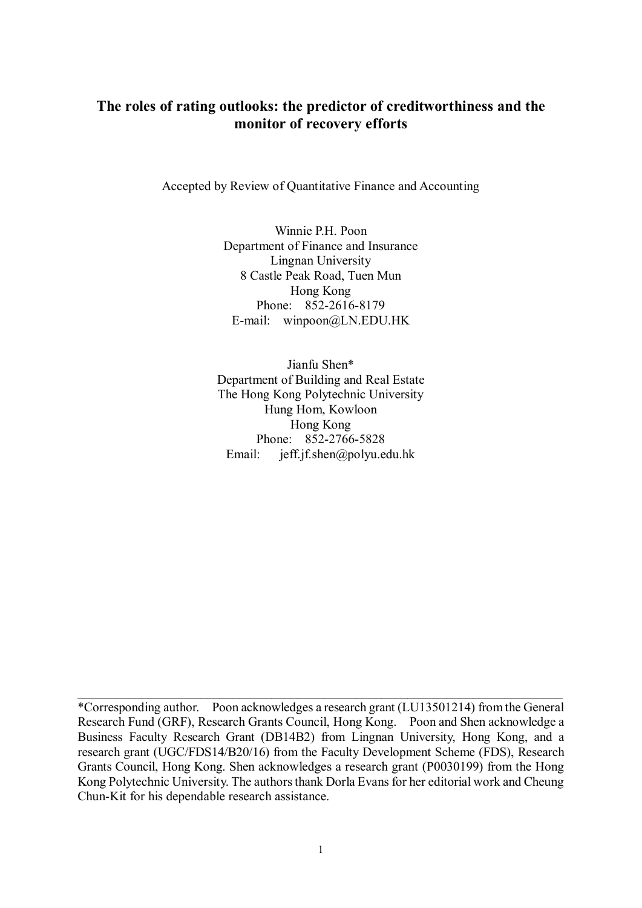## **The roles of rating outlooks: the predictor of creditworthiness and the monitor of recovery efforts**

Accepted by Review of Quantitative Finance and Accounting

Winnie P.H. Poon Department of Finance and Insurance Lingnan University 8 Castle Peak Road, Tuen Mun Hong Kong Phone: 852-2616-8179 E-mail: winpoon@LN.EDU.HK

Jianfu Shen\* Department of Building and Real Estate The Hong Kong Polytechnic University Hung Hom, Kowloon Hong Kong Phone: 852-2766-5828 Email: jeff.jf.shen@polyu.edu.hk

\_\_\_\_\_\_\_\_\_\_\_\_\_\_\_\_\_\_\_\_\_\_\_\_\_\_\_\_\_\_\_\_\_\_\_\_\_\_\_\_\_\_\_\_\_\_\_\_\_\_\_\_\_\_\_\_\_\_\_\_\_\_\_\_\_\_\_\_\_\_\_\_\_\_\_

<sup>\*</sup>Corresponding author. Poon acknowledges a research grant (LU13501214) from the General Research Fund (GRF), Research Grants Council, Hong Kong. Poon and Shen acknowledge a Business Faculty Research Grant (DB14B2) from Lingnan University, Hong Kong, and a research grant (UGC/FDS14/B20/16) from the Faculty Development Scheme (FDS), Research Grants Council, Hong Kong. Shen acknowledges a research grant (P0030199) from the Hong Kong Polytechnic University. The authors thank Dorla Evans for her editorial work and Cheung Chun-Kit for his dependable research assistance.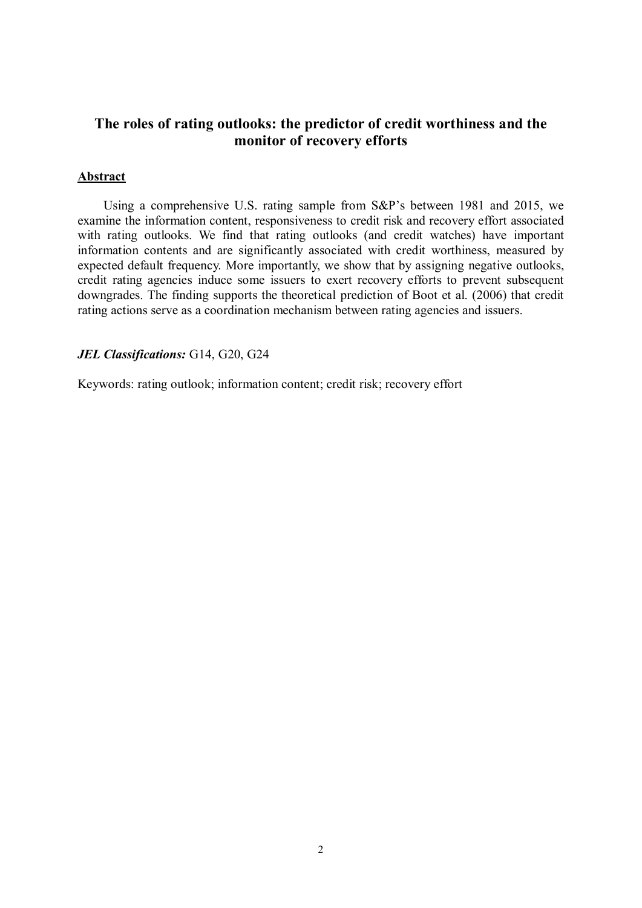## **The roles of rating outlooks: the predictor of credit worthiness and the monitor of recovery efforts**

#### **Abstract**

Using a comprehensive U.S. rating sample from S&P's between 1981 and 2015, we examine the information content, responsiveness to credit risk and recovery effort associated with rating outlooks. We find that rating outlooks (and credit watches) have important information contents and are significantly associated with credit worthiness, measured by expected default frequency. More importantly, we show that by assigning negative outlooks, credit rating agencies induce some issuers to exert recovery efforts to prevent subsequent downgrades. The finding supports the theoretical prediction of Boot et al. (2006) that credit rating actions serve as a coordination mechanism between rating agencies and issuers.

#### *JEL Classifications:* G14, G20, G24

Keywords: rating outlook; information content; credit risk; recovery effort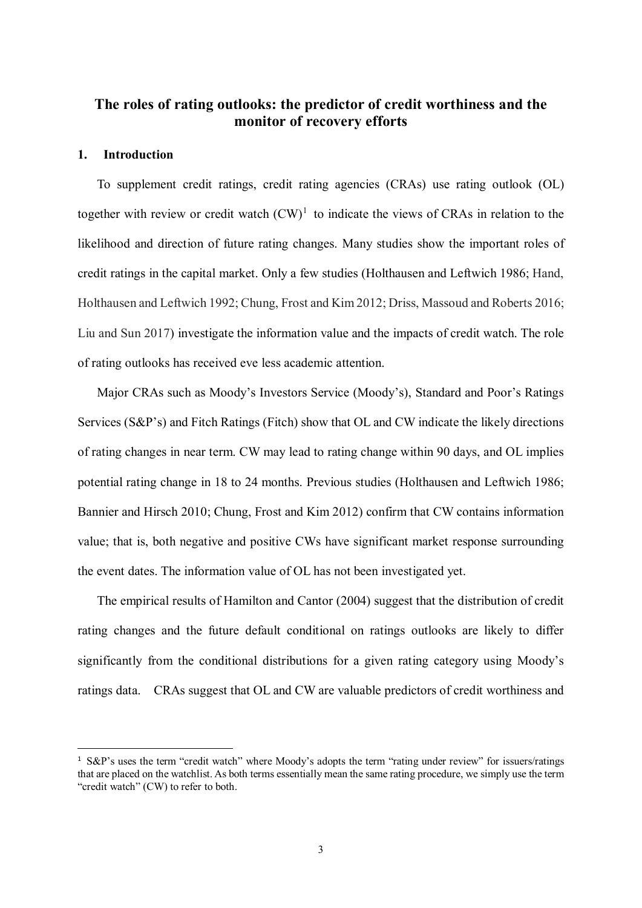## **The roles of rating outlooks: the predictor of credit worthiness and the monitor of recovery efforts**

#### **1. Introduction**

To supplement credit ratings, credit rating agencies (CRAs) use rating outlook (OL) together with review or credit watch  $(CW)^1$  $(CW)^1$  to indicate the views of CRAs in relation to the likelihood and direction of future rating changes. Many studies show the important roles of credit ratings in the capital market. Only a few studies (Holthausen and Leftwich 1986; Hand, Holthausen and Leftwich 1992; Chung, Frost and Kim 2012; Driss, Massoud and Roberts 2016; Liu and Sun 2017) investigate the information value and the impacts of credit watch. The role of rating outlooks has received eve less academic attention.

Major CRAs such as Moody's Investors Service (Moody's), Standard and Poor's Ratings Services (S&P's) and Fitch Ratings (Fitch) show that OL and CW indicate the likely directions of rating changes in near term. CW may lead to rating change within 90 days, and OL implies potential rating change in 18 to 24 months. Previous studies (Holthausen and Leftwich 1986; Bannier and Hirsch 2010; Chung, Frost and Kim 2012) confirm that CW contains information value; that is, both negative and positive CWs have significant market response surrounding the event dates. The information value of OL has not been investigated yet.

The empirical results of Hamilton and Cantor (2004) suggest that the distribution of credit rating changes and the future default conditional on ratings outlooks are likely to differ significantly from the conditional distributions for a given rating category using Moody's ratings data. CRAs suggest that OL and CW are valuable predictors of credit worthiness and

<span id="page-2-0"></span><sup>&</sup>lt;sup>1</sup> S&P's uses the term "credit watch" where Moody's adopts the term "rating under review" for issuers/ratings that are placed on the watchlist. As both terms essentially mean the same rating procedure, we simply use the term "credit watch" (CW) to refer to both.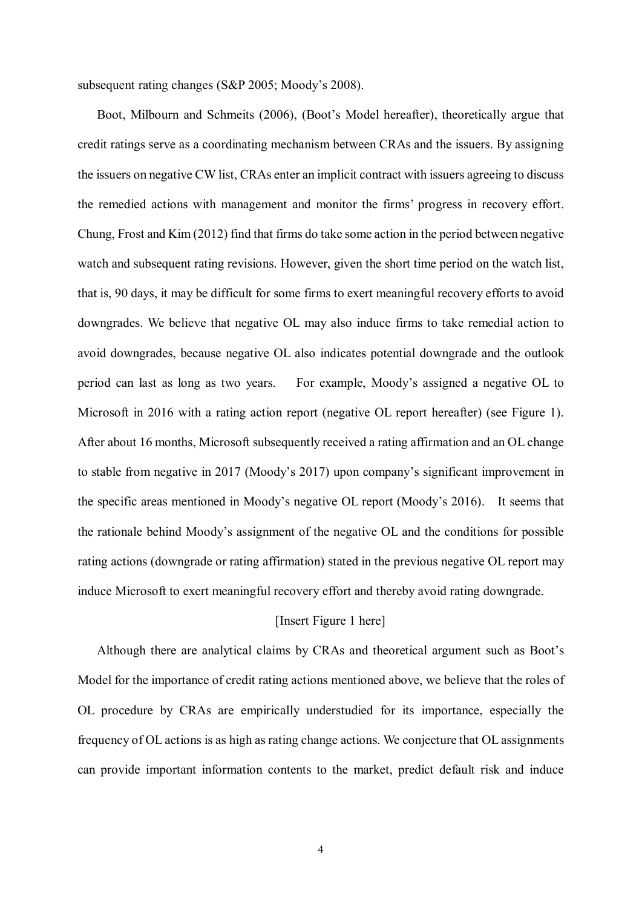subsequent rating changes (S&P 2005; Moody's 2008).

Boot, Milbourn and Schmeits (2006), (Boot's Model hereafter), theoretically argue that credit ratings serve as a coordinating mechanism between CRAs and the issuers. By assigning the issuers on negative CW list, CRAs enter an implicit contract with issuers agreeing to discuss the remedied actions with management and monitor the firms' progress in recovery effort. Chung, Frost and Kim (2012) find that firms do take some action in the period between negative watch and subsequent rating revisions. However, given the short time period on the watch list, that is, 90 days, it may be difficult for some firms to exert meaningful recovery efforts to avoid downgrades. We believe that negative OL may also induce firms to take remedial action to avoid downgrades, because negative OL also indicates potential downgrade and the outlook period can last as long as two years. For example, Moody's assigned a negative OL to Microsoft in 2016 with a rating action report (negative OL report hereafter) (see Figure 1). After about 16 months, Microsoft subsequently received a rating affirmation and an OL change to stable from negative in 2017 (Moody's 2017) upon company's significant improvement in the specific areas mentioned in Moody's negative OL report (Moody's 2016). It seems that the rationale behind Moody's assignment of the negative OL and the conditions for possible rating actions (downgrade or rating affirmation) stated in the previous negative OL report may induce Microsoft to exert meaningful recovery effort and thereby avoid rating downgrade.

#### [Insert Figure 1 here]

Although there are analytical claims by CRAs and theoretical argument such as Boot's Model for the importance of credit rating actions mentioned above, we believe that the roles of OL procedure by CRAs are empirically understudied for its importance, especially the frequency of OL actions is as high as rating change actions. We conjecture that OL assignments can provide important information contents to the market, predict default risk and induce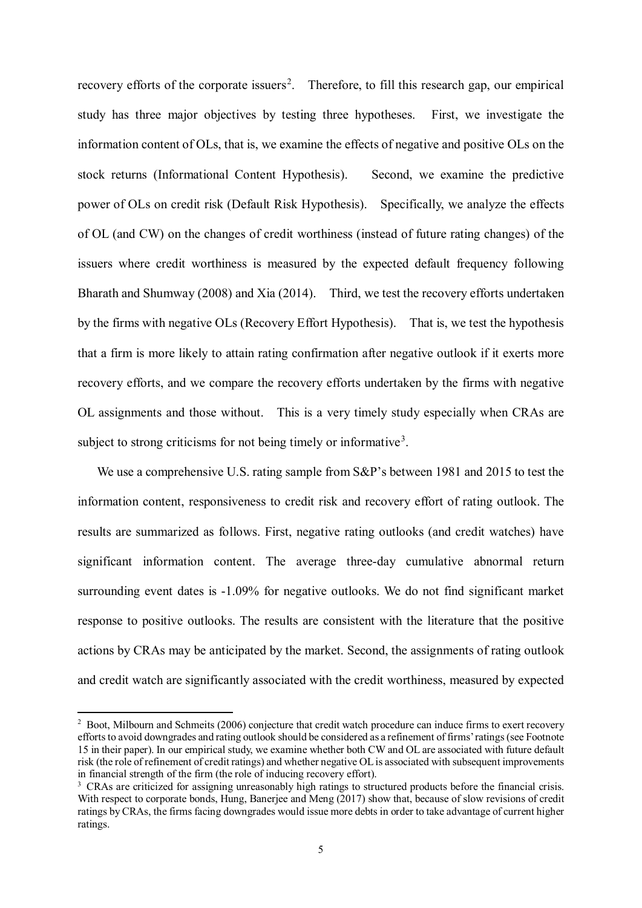recovery efforts of the corporate issuers<sup>[2](#page-4-0)</sup>. Therefore, to fill this research gap, our empirical study has three major objectives by testing three hypotheses. First, we investigate the information content of OLs, that is, we examine the effects of negative and positive OLs on the stock returns (Informational Content Hypothesis). Second, we examine the predictive power of OLs on credit risk (Default Risk Hypothesis). Specifically, we analyze the effects of OL (and CW) on the changes of credit worthiness (instead of future rating changes) of the issuers where credit worthiness is measured by the expected default frequency following Bharath and Shumway (2008) and Xia (2014). Third, we test the recovery efforts undertaken by the firms with negative OLs (Recovery Effort Hypothesis). That is, we test the hypothesis that a firm is more likely to attain rating confirmation after negative outlook if it exerts more recovery efforts, and we compare the recovery efforts undertaken by the firms with negative OL assignments and those without. This is a very timely study especially when CRAs are subject to strong criticisms for not being timely or informative<sup>[3](#page-4-1)</sup>.

We use a comprehensive U.S. rating sample from S&P's between 1981 and 2015 to test the information content, responsiveness to credit risk and recovery effort of rating outlook. The results are summarized as follows. First, negative rating outlooks (and credit watches) have significant information content. The average three-day cumulative abnormal return surrounding event dates is -1.09% for negative outlooks. We do not find significant market response to positive outlooks. The results are consistent with the literature that the positive actions by CRAs may be anticipated by the market. Second, the assignments of rating outlook and credit watch are significantly associated with the credit worthiness, measured by expected

-

<span id="page-4-0"></span><sup>&</sup>lt;sup>2</sup> Boot, Milbourn and Schmeits (2006) conjecture that credit watch procedure can induce firms to exert recovery efforts to avoid downgrades and rating outlook should be considered as a refinement of firms' ratings (see Footnote 15 in their paper). In our empirical study, we examine whether both CW and OL are associated with future default risk (the role of refinement of credit ratings) and whether negative OL is associated with subsequent improvements in financial strength of the firm (the role of inducing recovery effort).

<span id="page-4-1"></span><sup>&</sup>lt;sup>3</sup> CRAs are criticized for assigning unreasonably high ratings to structured products before the financial crisis. With respect to corporate bonds, Hung, Baneriee and Meng (2017) show that, because of slow revisions of credit ratings by CRAs, the firms facing downgrades would issue more debts in order to take advantage of current higher ratings.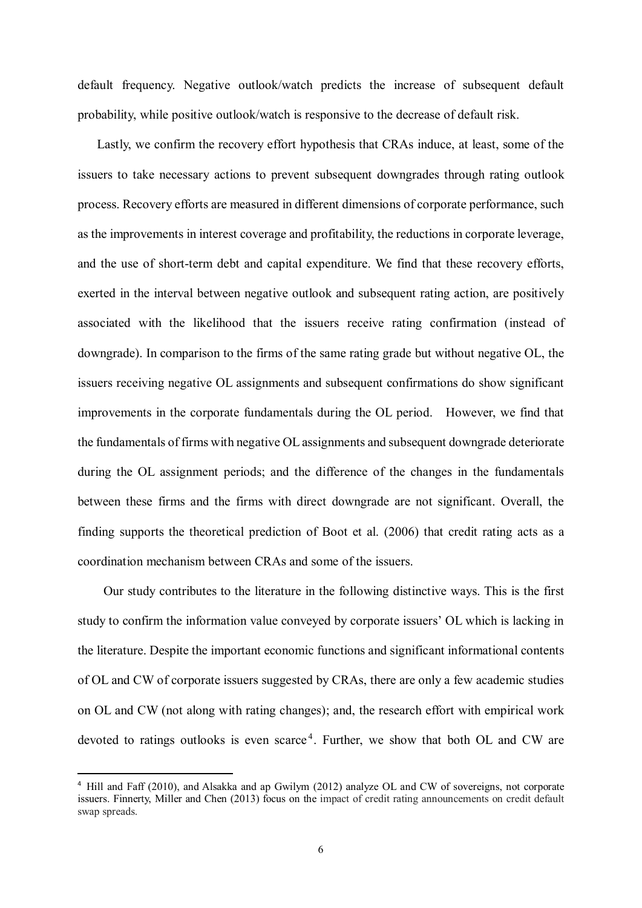default frequency. Negative outlook/watch predicts the increase of subsequent default probability, while positive outlook/watch is responsive to the decrease of default risk.

Lastly, we confirm the recovery effort hypothesis that CRAs induce, at least, some of the issuers to take necessary actions to prevent subsequent downgrades through rating outlook process. Recovery efforts are measured in different dimensions of corporate performance, such as the improvements in interest coverage and profitability, the reductions in corporate leverage, and the use of short-term debt and capital expenditure. We find that these recovery efforts, exerted in the interval between negative outlook and subsequent rating action, are positively associated with the likelihood that the issuers receive rating confirmation (instead of downgrade). In comparison to the firms of the same rating grade but without negative OL, the issuers receiving negative OL assignments and subsequent confirmations do show significant improvements in the corporate fundamentals during the OL period. However, we find that the fundamentals of firms with negative OL assignments and subsequent downgrade deteriorate during the OL assignment periods; and the difference of the changes in the fundamentals between these firms and the firms with direct downgrade are not significant. Overall, the finding supports the theoretical prediction of Boot et al. (2006) that credit rating acts as a coordination mechanism between CRAs and some of the issuers.

Our study contributes to the literature in the following distinctive ways. This is the first study to confirm the information value conveyed by corporate issuers' OL which is lacking in the literature. Despite the important economic functions and significant informational contents of OL and CW of corporate issuers suggested by CRAs, there are only a few academic studies on OL and CW (not along with rating changes); and, the research effort with empirical work devoted to ratings outlooks is even scarce<sup>[4](#page-5-0)</sup>. Further, we show that both OL and CW are

<span id="page-5-0"></span> <sup>4</sup> Hill and Faff (2010), and Alsakka and ap Gwilym (2012) analyze OL and CW of sovereigns, not corporate issuers. Finnerty, Miller and Chen (2013) focus on the impact of credit rating announcements on credit default swap spreads.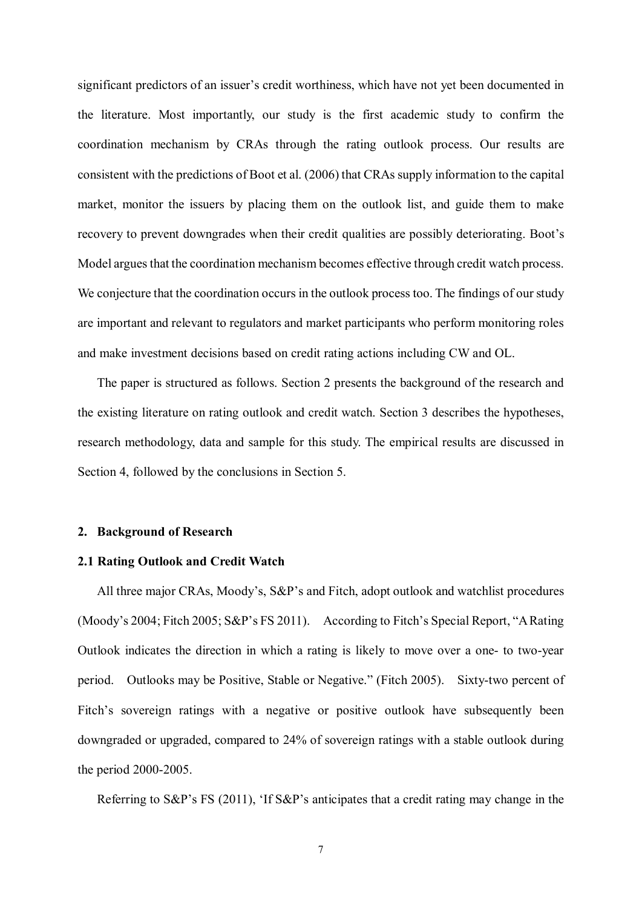significant predictors of an issuer's credit worthiness, which have not yet been documented in the literature. Most importantly, our study is the first academic study to confirm the coordination mechanism by CRAs through the rating outlook process. Our results are consistent with the predictions of Boot et al. (2006) that CRAs supply information to the capital market, monitor the issuers by placing them on the outlook list, and guide them to make recovery to prevent downgrades when their credit qualities are possibly deteriorating. Boot's Model argues that the coordination mechanism becomes effective through credit watch process. We conjecture that the coordination occurs in the outlook process too. The findings of our study are important and relevant to regulators and market participants who perform monitoring roles and make investment decisions based on credit rating actions including CW and OL.

The paper is structured as follows. Section 2 presents the background of the research and the existing literature on rating outlook and credit watch. Section 3 describes the hypotheses, research methodology, data and sample for this study. The empirical results are discussed in Section 4, followed by the conclusions in Section 5.

#### **2. Background of Research**

#### **2.1 Rating Outlook and Credit Watch**

 All three major CRAs, Moody's, S&P's and Fitch, adopt outlook and watchlist procedures (Moody's 2004; Fitch 2005; S&P's FS 2011). According to Fitch's Special Report, "A Rating Outlook indicates the direction in which a rating is likely to move over a one- to two-year period. Outlooks may be Positive, Stable or Negative." (Fitch 2005). Sixty-two percent of Fitch's sovereign ratings with a negative or positive outlook have subsequently been downgraded or upgraded, compared to 24% of sovereign ratings with a stable outlook during the period 2000-2005.

Referring to S&P's FS (2011), 'If S&P's anticipates that a credit rating may change in the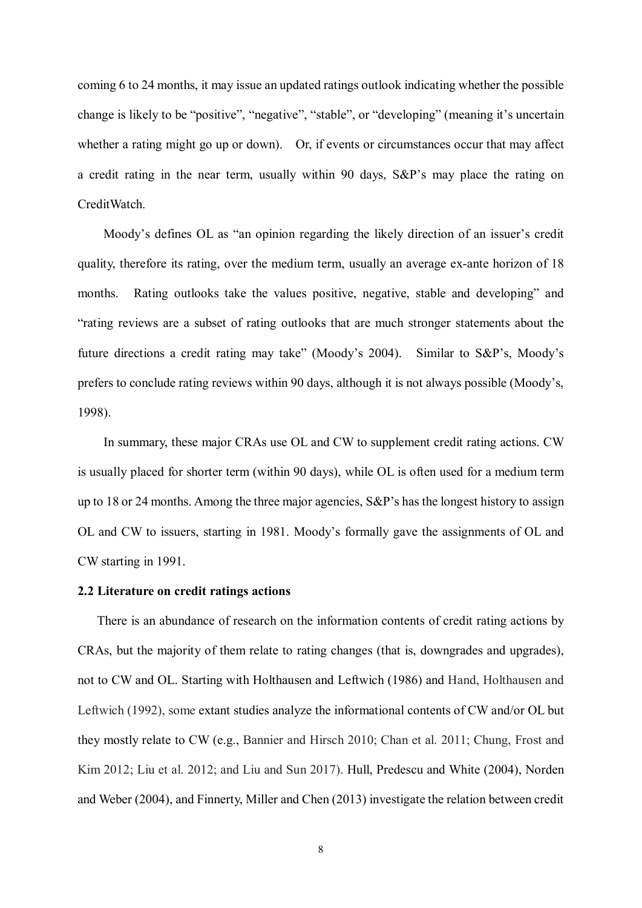coming 6 to 24 months, it may issue an updated ratings outlook indicating whether the possible change is likely to be "positive", "negative", "stable", or "developing" (meaning it's uncertain whether a rating might go up or down). Or, if events or circumstances occur that may affect a credit rating in the near term, usually within 90 days, S&P's may place the rating on CreditWatch.

Moody's defines OL as "an opinion regarding the likely direction of an issuer's credit quality, therefore its rating, over the medium term, usually an average ex-ante horizon of 18 months. Rating outlooks take the values positive, negative, stable and developing" and "rating reviews are a subset of rating outlooks that are much stronger statements about the future directions a credit rating may take" (Moody's 2004). Similar to S&P's, Moody's prefers to conclude rating reviews within 90 days, although it is not always possible (Moody's, 1998).

In summary, these major CRAs use OL and CW to supplement credit rating actions. CW is usually placed for shorter term (within 90 days), while OL is often used for a medium term up to 18 or 24 months. Among the three major agencies, S&P's has the longest history to assign OL and CW to issuers, starting in 1981. Moody's formally gave the assignments of OL and CW starting in 1991.

#### **2.2 Literature on credit ratings actions**

There is an abundance of research on the information contents of credit rating actions by CRAs, but the majority of them relate to rating changes (that is, downgrades and upgrades), not to CW and OL. Starting with Holthausen and Leftwich (1986) and Hand, Holthausen and Leftwich (1992), some extant studies analyze the informational contents of CW and/or OL but they mostly relate to CW (e.g., Bannier and Hirsch 2010; Chan et al. 2011; Chung, Frost and Kim 2012; Liu et al. 2012; and Liu and Sun 2017). Hull, Predescu and White (2004), Norden and Weber (2004), and Finnerty, Miller and Chen (2013) investigate the relation between credit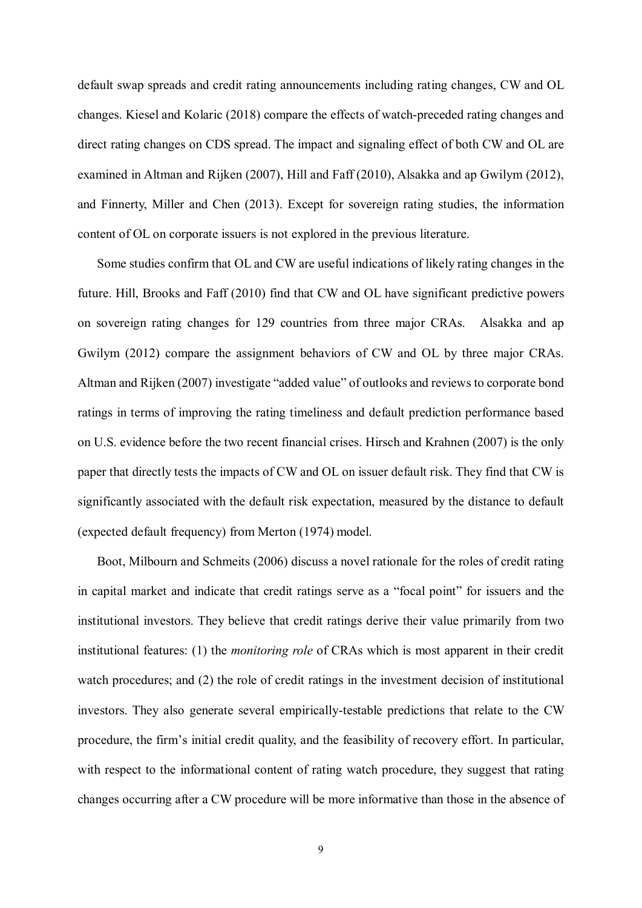default swap spreads and credit rating announcements including rating changes, CW and OL changes. Kiesel and Kolaric (2018) compare the effects of watch-preceded rating changes and direct rating changes on CDS spread. The impact and signaling effect of both CW and OL are examined in Altman and Rijken (2007), Hill and Faff (2010), Alsakka and ap Gwilym (2012), and Finnerty, Miller and Chen (2013). Except for sovereign rating studies, the information content of OL on corporate issuers is not explored in the previous literature.

Some studies confirm that OL and CW are useful indications of likely rating changes in the future. Hill, Brooks and Faff (2010) find that CW and OL have significant predictive powers on sovereign rating changes for 129 countries from three major CRAs. Alsakka and ap Gwilym (2012) compare the assignment behaviors of CW and OL by three major CRAs. Altman and Rijken (2007) investigate "added value" of outlooks and reviews to corporate bond ratings in terms of improving the rating timeliness and default prediction performance based on U.S. evidence before the two recent financial crises. Hirsch and Krahnen (2007) is the only paper that directly tests the impacts of CW and OL on issuer default risk. They find that CW is significantly associated with the default risk expectation, measured by the distance to default (expected default frequency) from Merton (1974) model.

Boot, Milbourn and Schmeits (2006) discuss a novel rationale for the roles of credit rating in capital market and indicate that credit ratings serve as a "focal point" for issuers and the institutional investors. They believe that credit ratings derive their value primarily from two institutional features: (1) the *monitoring role* of CRAs which is most apparent in their credit watch procedures; and (2) the role of credit ratings in the investment decision of institutional investors. They also generate several empirically-testable predictions that relate to the CW procedure, the firm's initial credit quality, and the feasibility of recovery effort. In particular, with respect to the informational content of rating watch procedure, they suggest that rating changes occurring after a CW procedure will be more informative than those in the absence of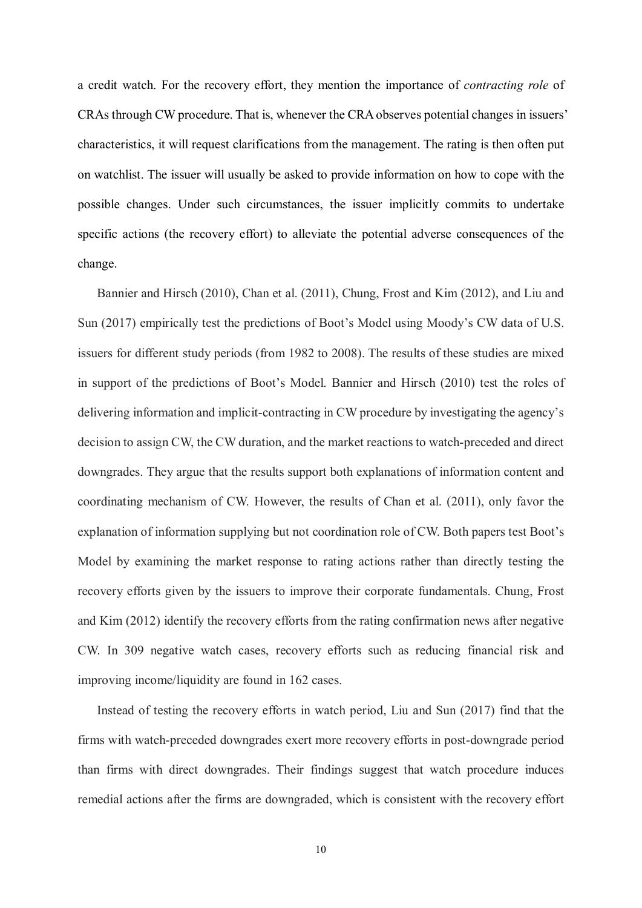a credit watch. For the recovery effort, they mention the importance of *contracting role* of CRAs through CW procedure. That is, whenever the CRA observes potential changes in issuers' characteristics, it will request clarifications from the management. The rating is then often put on watchlist. The issuer will usually be asked to provide information on how to cope with the possible changes. Under such circumstances, the issuer implicitly commits to undertake specific actions (the recovery effort) to alleviate the potential adverse consequences of the change.

Bannier and Hirsch (2010), Chan et al. (2011), Chung, Frost and Kim (2012), and Liu and Sun (2017) empirically test the predictions of Boot's Model using Moody's CW data of U.S. issuers for different study periods (from 1982 to 2008). The results of these studies are mixed in support of the predictions of Boot's Model. Bannier and Hirsch (2010) test the roles of delivering information and implicit-contracting in CW procedure by investigating the agency's decision to assign CW, the CW duration, and the market reactions to watch-preceded and direct downgrades. They argue that the results support both explanations of information content and coordinating mechanism of CW. However, the results of Chan et al. (2011), only favor the explanation of information supplying but not coordination role of CW. Both papers test Boot's Model by examining the market response to rating actions rather than directly testing the recovery efforts given by the issuers to improve their corporate fundamentals. Chung, Frost and Kim (2012) identify the recovery efforts from the rating confirmation news after negative CW. In 309 negative watch cases, recovery efforts such as reducing financial risk and improving income/liquidity are found in 162 cases.

Instead of testing the recovery efforts in watch period, Liu and Sun (2017) find that the firms with watch-preceded downgrades exert more recovery efforts in post-downgrade period than firms with direct downgrades. Their findings suggest that watch procedure induces remedial actions after the firms are downgraded, which is consistent with the recovery effort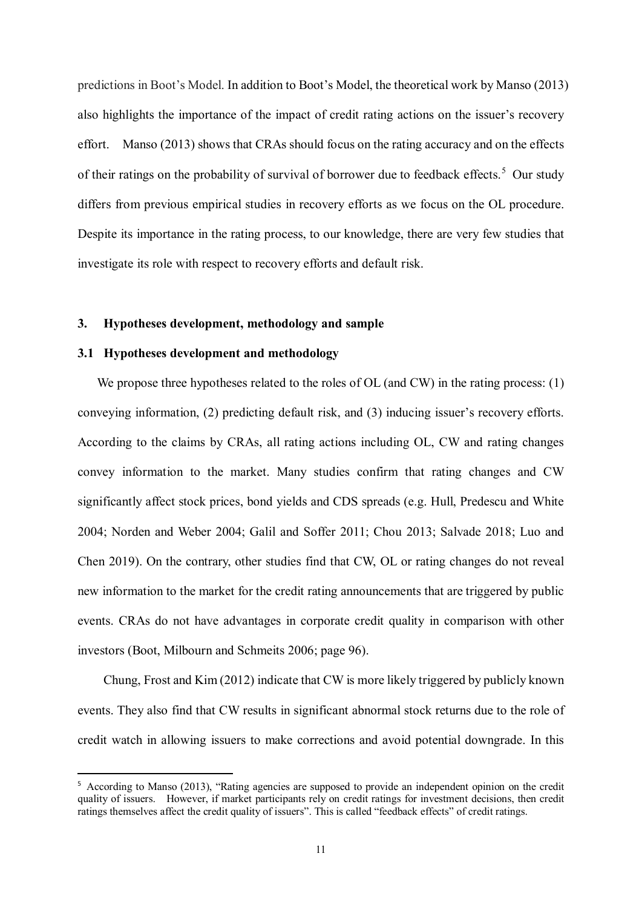predictions in Boot's Model. In addition to Boot's Model, the theoretical work by Manso (2013) also highlights the importance of the impact of credit rating actions on the issuer's recovery effort. Manso (2013) shows that CRAs should focus on the rating accuracy and on the effects of their ratings on the probability of survival of borrower due to feedback effects.<sup>[5](#page-10-0)</sup> Our study differs from previous empirical studies in recovery efforts as we focus on the OL procedure. Despite its importance in the rating process, to our knowledge, there are very few studies that investigate its role with respect to recovery efforts and default risk.

#### **3. Hypotheses development, methodology and sample**

#### **3.1 Hypotheses development and methodology**

We propose three hypotheses related to the roles of OL (and CW) in the rating process: (1) conveying information, (2) predicting default risk, and (3) inducing issuer's recovery efforts. According to the claims by CRAs, all rating actions including OL, CW and rating changes convey information to the market. Many studies confirm that rating changes and CW significantly affect stock prices, bond yields and CDS spreads (e.g. Hull, Predescu and White 2004; Norden and Weber 2004; Galil and Soffer 2011; Chou 2013; Salvade 2018; Luo and Chen 2019). On the contrary, other studies find that CW, OL or rating changes do not reveal new information to the market for the credit rating announcements that are triggered by public events. CRAs do not have advantages in corporate credit quality in comparison with other investors (Boot, Milbourn and Schmeits 2006; page 96).

Chung, Frost and Kim (2012) indicate that CW is more likely triggered by publicly known events. They also find that CW results in significant abnormal stock returns due to the role of credit watch in allowing issuers to make corrections and avoid potential downgrade. In this

<span id="page-10-0"></span> <sup>5</sup> According to Manso (2013), "Rating agencies are supposed to provide an independent opinion on the credit quality of issuers. However, if market participants rely on credit ratings for investment decisions, then credit ratings themselves affect the credit quality of issuers". This is called "feedback effects" of credit ratings.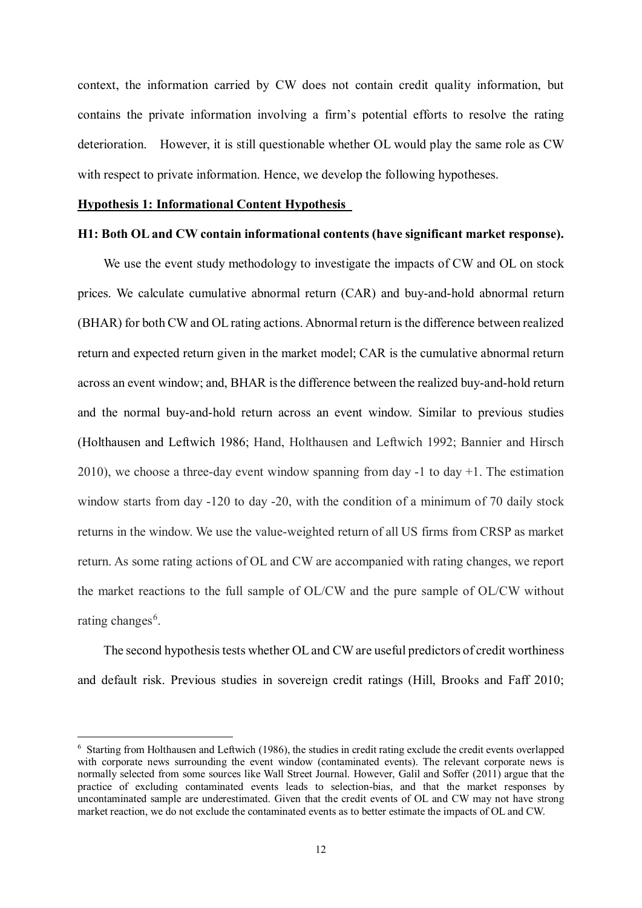context, the information carried by CW does not contain credit quality information, but contains the private information involving a firm's potential efforts to resolve the rating deterioration. However, it is still questionable whether OL would play the same role as CW with respect to private information. Hence, we develop the following hypotheses.

#### **Hypothesis 1: Informational Content Hypothesis**

<u>.</u>

#### **H1: Both OL and CW contain informational contents (have significant market response).**

We use the event study methodology to investigate the impacts of CW and OL on stock prices. We calculate cumulative abnormal return (CAR) and buy-and-hold abnormal return (BHAR) for both CW and OL rating actions. Abnormal return is the difference between realized return and expected return given in the market model; CAR is the cumulative abnormal return across an event window; and, BHAR is the difference between the realized buy-and-hold return and the normal buy-and-hold return across an event window. Similar to previous studies (Holthausen and Leftwich 1986; Hand, Holthausen and Leftwich 1992; Bannier and Hirsch  $2010$ ), we choose a three-day event window spanning from day -1 to day +1. The estimation window starts from day -120 to day -20, with the condition of a minimum of 70 daily stock returns in the window. We use the value-weighted return of all US firms from CRSP as market return. As some rating actions of OL and CW are accompanied with rating changes, we report the market reactions to the full sample of OL/CW and the pure sample of OL/CW without rating changes<sup>[6](#page-11-0)</sup>.

The second hypothesis tests whether OL and CW are useful predictors of credit worthiness and default risk. Previous studies in sovereign credit ratings (Hill, Brooks and Faff 2010;

<span id="page-11-0"></span><sup>6</sup> Starting from Holthausen and Leftwich (1986), the studies in credit rating exclude the credit events overlapped with corporate news surrounding the event window (contaminated events). The relevant corporate news is normally selected from some sources like Wall Street Journal. However, Galil and Soffer (2011) argue that the practice of excluding contaminated events leads to selection-bias, and that the market responses by uncontaminated sample are underestimated. Given that the credit events of OL and CW may not have strong market reaction, we do not exclude the contaminated events as to better estimate the impacts of OL and CW.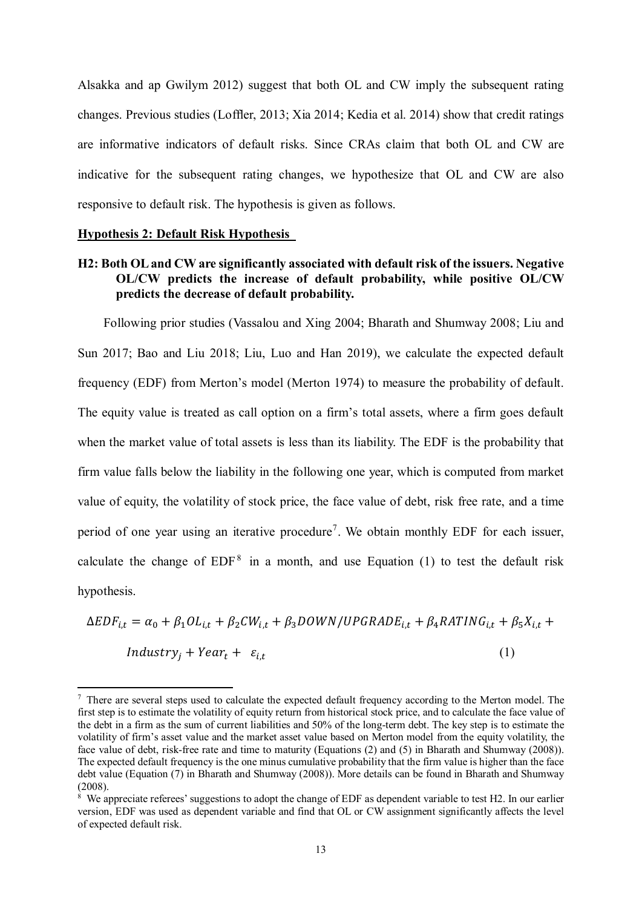Alsakka and ap Gwilym 2012) suggest that both OL and CW imply the subsequent rating changes. Previous studies (Loffler, 2013; Xia 2014; Kedia et al. 2014) show that credit ratings are informative indicators of default risks. Since CRAs claim that both OL and CW are indicative for the subsequent rating changes, we hypothesize that OL and CW are also responsive to default risk. The hypothesis is given as follows.

#### **Hypothesis 2: Default Risk Hypothesis**

<u>.</u>

### **H2: Both OL and CW are significantly associated with default risk of the issuers. Negative OL/CW predicts the increase of default probability, while positive OL/CW predicts the decrease of default probability.**

Following prior studies (Vassalou and Xing 2004; Bharath and Shumway 2008; Liu and Sun 2017; Bao and Liu 2018; Liu, Luo and Han 2019), we calculate the expected default frequency (EDF) from Merton's model (Merton 1974) to measure the probability of default. The equity value is treated as call option on a firm's total assets, where a firm goes default when the market value of total assets is less than its liability. The EDF is the probability that firm value falls below the liability in the following one year, which is computed from market value of equity, the volatility of stock price, the face value of debt, risk free rate, and a time period of one year using an iterative procedure<sup>[7](#page-12-0)</sup>. We obtain monthly EDF for each issuer, calculate the change of  $EDF^8$  $EDF^8$  in a month, and use Equation (1) to test the default risk hypothesis.

$$
\Delta EDF_{i,t} = \alpha_0 + \beta_1 OL_{i,t} + \beta_2 CW_{i,t} + \beta_3 DOWN/UPGRADE_{i,t} + \beta_4 RATING_{i,t} + \beta_5 X_{i,t} +Industry_j + Year_t + \varepsilon_{i,t}
$$
\n(1)

<span id="page-12-0"></span><sup>7</sup> There are several steps used to calculate the expected default frequency according to the Merton model. The first step is to estimate the volatility of equity return from historical stock price, and to calculate the face value of the debt in a firm as the sum of current liabilities and 50% of the long-term debt. The key step is to estimate the volatility of firm's asset value and the market asset value based on Merton model from the equity volatility, the face value of debt, risk-free rate and time to maturity (Equations (2) and (5) in Bharath and Shumway (2008)). The expected default frequency is the one minus cumulative probability that the firm value is higher than the face debt value (Equation (7) in Bharath and Shumway (2008)). More details can be found in Bharath and Shumway (2008).<br><sup>8</sup> We appreciate referees' suggestions to adopt the change of EDF as dependent variable to test H2. In our earlier

<span id="page-12-1"></span>version, EDF was used as dependent variable and find that OL or CW assignment significantly affects the level of expected default risk.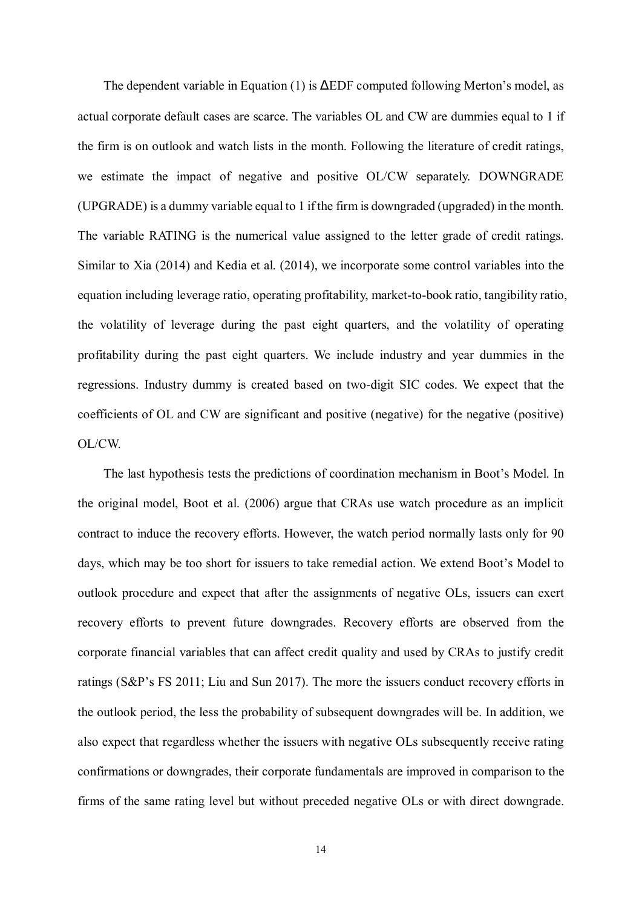The dependent variable in Equation (1) is  $\Delta EDF$  computed following Merton's model, as actual corporate default cases are scarce. The variables OL and CW are dummies equal to 1 if the firm is on outlook and watch lists in the month. Following the literature of credit ratings, we estimate the impact of negative and positive OL/CW separately. DOWNGRADE (UPGRADE) is a dummy variable equal to 1 if the firm is downgraded (upgraded) in the month. The variable RATING is the numerical value assigned to the letter grade of credit ratings. Similar to Xia (2014) and Kedia et al. (2014), we incorporate some control variables into the equation including leverage ratio, operating profitability, market-to-book ratio, tangibility ratio, the volatility of leverage during the past eight quarters, and the volatility of operating profitability during the past eight quarters. We include industry and year dummies in the regressions. Industry dummy is created based on two-digit SIC codes. We expect that the coefficients of OL and CW are significant and positive (negative) for the negative (positive) OL/CW.

The last hypothesis tests the predictions of coordination mechanism in Boot's Model. In the original model, Boot et al. (2006) argue that CRAs use watch procedure as an implicit contract to induce the recovery efforts. However, the watch period normally lasts only for 90 days, which may be too short for issuers to take remedial action. We extend Boot's Model to outlook procedure and expect that after the assignments of negative OLs, issuers can exert recovery efforts to prevent future downgrades. Recovery efforts are observed from the corporate financial variables that can affect credit quality and used by CRAs to justify credit ratings (S&P's FS 2011; Liu and Sun 2017). The more the issuers conduct recovery efforts in the outlook period, the less the probability of subsequent downgrades will be. In addition, we also expect that regardless whether the issuers with negative OLs subsequently receive rating confirmations or downgrades, their corporate fundamentals are improved in comparison to the firms of the same rating level but without preceded negative OLs or with direct downgrade.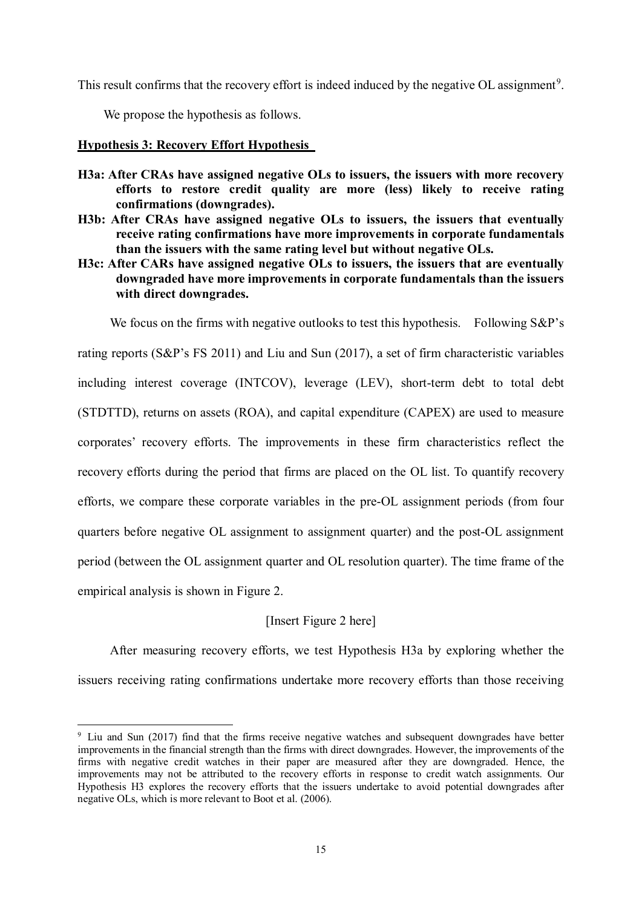This result confirms that the recovery effort is indeed induced by the negative OL assignment<sup>[9](#page-14-0)</sup>.

We propose the hypothesis as follows.

#### **Hypothesis 3: Recovery Effort Hypothesis**

- **H3a: After CRAs have assigned negative OLs to issuers, the issuers with more recovery efforts to restore credit quality are more (less) likely to receive rating confirmations (downgrades).**
- **H3b: After CRAs have assigned negative OLs to issuers, the issuers that eventually receive rating confirmations have more improvements in corporate fundamentals than the issuers with the same rating level but without negative OLs.**
- **H3c: After CARs have assigned negative OLs to issuers, the issuers that are eventually downgraded have more improvements in corporate fundamentals than the issuers with direct downgrades.**

We focus on the firms with negative outlooks to test this hypothesis. Following S&P's

rating reports (S&P's FS 2011) and Liu and Sun (2017), a set of firm characteristic variables including interest coverage (INTCOV), leverage (LEV), short-term debt to total debt (STDTTD), returns on assets (ROA), and capital expenditure (CAPEX) are used to measure corporates' recovery efforts. The improvements in these firm characteristics reflect the recovery efforts during the period that firms are placed on the OL list. To quantify recovery efforts, we compare these corporate variables in the pre-OL assignment periods (from four quarters before negative OL assignment to assignment quarter) and the post-OL assignment period (between the OL assignment quarter and OL resolution quarter). The time frame of the empirical analysis is shown in Figure 2.

## [Insert Figure 2 here]

After measuring recovery efforts, we test Hypothesis H3a by exploring whether the issuers receiving rating confirmations undertake more recovery efforts than those receiving

<span id="page-14-0"></span><sup>&</sup>lt;u>.</u> <sup>9</sup> Liu and Sun (2017) find that the firms receive negative watches and subsequent downgrades have better improvements in the financial strength than the firms with direct downgrades. However, the improvements of the firms with negative credit watches in their paper are measured after they are downgraded. Hence, the improvements may not be attributed to the recovery efforts in response to credit watch assignments. Our Hypothesis H3 explores the recovery efforts that the issuers undertake to avoid potential downgrades after negative OLs, which is more relevant to Boot et al. (2006).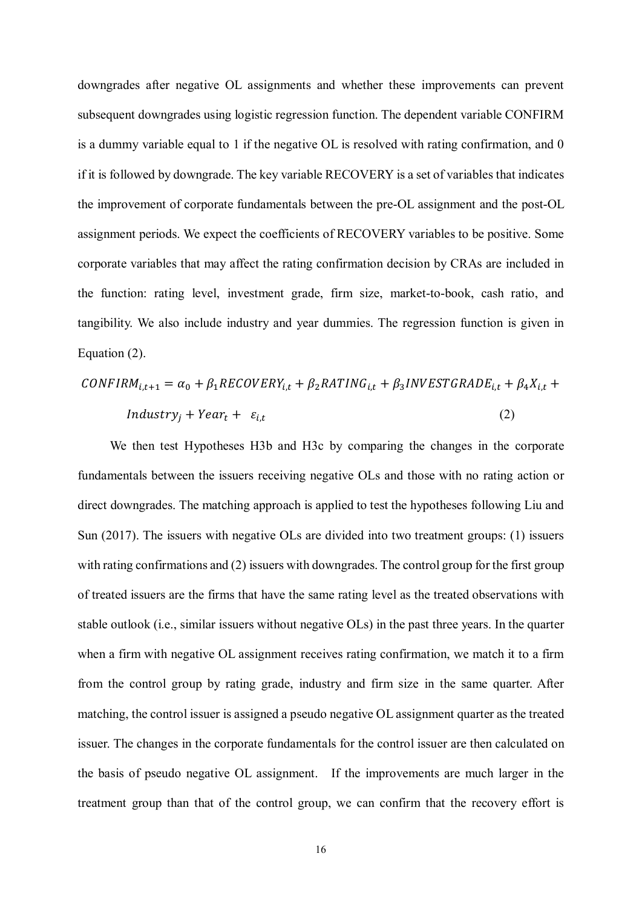downgrades after negative OL assignments and whether these improvements can prevent subsequent downgrades using logistic regression function. The dependent variable CONFIRM is a dummy variable equal to 1 if the negative OL is resolved with rating confirmation, and 0 if it is followed by downgrade. The key variable RECOVERY is a set of variables that indicates the improvement of corporate fundamentals between the pre-OL assignment and the post-OL assignment periods. We expect the coefficients of RECOVERY variables to be positive. Some corporate variables that may affect the rating confirmation decision by CRAs are included in the function: rating level, investment grade, firm size, market-to-book, cash ratio, and tangibility. We also include industry and year dummies. The regression function is given in Equation (2).

$$
CONFIRM_{i,t+1} = \alpha_0 + \beta_1 RECOVERY_{i,t} + \beta_2 RATING_{i,t} + \beta_3 INVESTGRAPH_{i,t} + \beta_4 X_{i,t} +
$$
  
Industry<sub>j</sub> + Year<sub>t</sub> +  $\varepsilon_{i,t}$  (2)

 We then test Hypotheses H3b and H3c by comparing the changes in the corporate fundamentals between the issuers receiving negative OLs and those with no rating action or direct downgrades. The matching approach is applied to test the hypotheses following Liu and Sun (2017). The issuers with negative OLs are divided into two treatment groups: (1) issuers with rating confirmations and (2) issuers with downgrades. The control group for the first group of treated issuers are the firms that have the same rating level as the treated observations with stable outlook (i.e., similar issuers without negative OLs) in the past three years. In the quarter when a firm with negative OL assignment receives rating confirmation, we match it to a firm from the control group by rating grade, industry and firm size in the same quarter. After matching, the control issuer is assigned a pseudo negative OL assignment quarter as the treated issuer. The changes in the corporate fundamentals for the control issuer are then calculated on the basis of pseudo negative OL assignment. If the improvements are much larger in the treatment group than that of the control group, we can confirm that the recovery effort is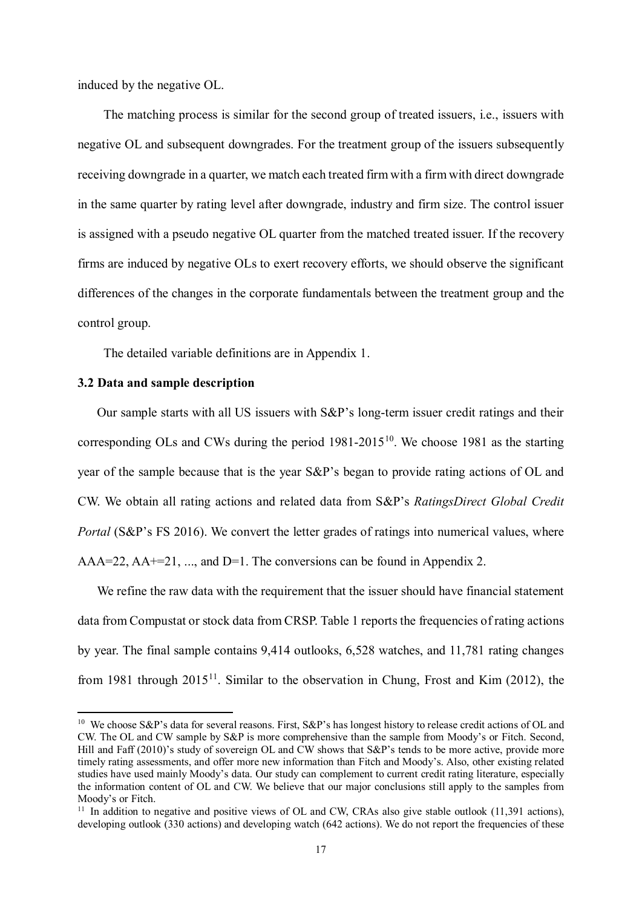induced by the negative OL.

The matching process is similar for the second group of treated issuers, i.e., issuers with negative OL and subsequent downgrades. For the treatment group of the issuers subsequently receiving downgrade in a quarter, we match each treated firm with a firm with direct downgrade in the same quarter by rating level after downgrade, industry and firm size. The control issuer is assigned with a pseudo negative OL quarter from the matched treated issuer. If the recovery firms are induced by negative OLs to exert recovery efforts, we should observe the significant differences of the changes in the corporate fundamentals between the treatment group and the control group.

The detailed variable definitions are in Appendix 1.

#### **3.2 Data and sample description**

-

Our sample starts with all US issuers with S&P's long-term issuer credit ratings and their corresponding OLs and CWs during the period  $1981-2015^{10}$  $1981-2015^{10}$  $1981-2015^{10}$ . We choose 1981 as the starting year of the sample because that is the year S&P's began to provide rating actions of OL and CW. We obtain all rating actions and related data from S&P's *RatingsDirect Global Credit Portal* (S&P's FS 2016). We convert the letter grades of ratings into numerical values, where AAA=22, AA+=21, ..., and D=1. The conversions can be found in Appendix 2.

We refine the raw data with the requirement that the issuer should have financial statement data from Compustat or stock data from CRSP. Table 1 reports the frequencies of rating actions by year. The final sample contains 9,414 outlooks, 6,528 watches, and 11,781 rating changes from 1981 through  $2015^{11}$ . Similar to the observation in Chung, Frost and Kim (2012), the

<span id="page-16-0"></span><sup>&</sup>lt;sup>10</sup> We choose S&P's data for several reasons. First, S&P's has longest history to release credit actions of OL and CW. The OL and CW sample by S&P is more comprehensive than the sample from Moody's or Fitch. Second, Hill and Faff (2010)'s study of sovereign OL and CW shows that S&P's tends to be more active, provide more timely rating assessments, and offer more new information than Fitch and Moody's. Also, other existing related studies have used mainly Moody's data. Our study can complement to current credit rating literature, especially the information content of OL and CW. We believe that our major conclusions still apply to the samples from Moody's or Fitch.

<span id="page-16-1"></span><sup>&</sup>lt;sup>11</sup> In addition to negative and positive views of OL and CW, CRAs also give stable outlook (11,391 actions), developing outlook (330 actions) and developing watch (642 actions). We do not report the frequencies of these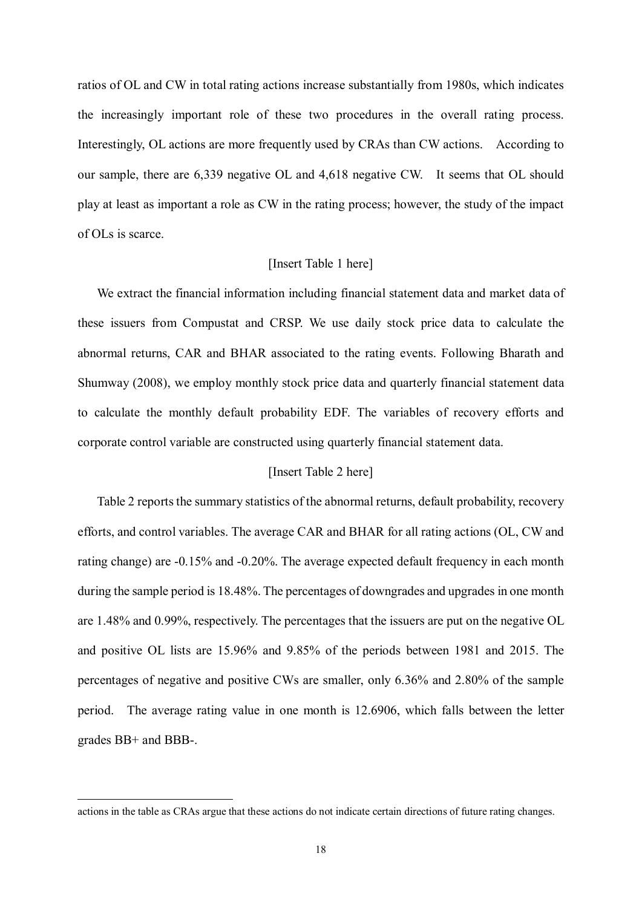ratios of OL and CW in total rating actions increase substantially from 1980s, which indicates the increasingly important role of these two procedures in the overall rating process. Interestingly, OL actions are more frequently used by CRAs than CW actions. According to our sample, there are 6,339 negative OL and 4,618 negative CW. It seems that OL should play at least as important a role as CW in the rating process; however, the study of the impact of OLs is scarce.

#### [Insert Table 1 here]

We extract the financial information including financial statement data and market data of these issuers from Compustat and CRSP. We use daily stock price data to calculate the abnormal returns, CAR and BHAR associated to the rating events. Following Bharath and Shumway (2008), we employ monthly stock price data and quarterly financial statement data to calculate the monthly default probability EDF. The variables of recovery efforts and corporate control variable are constructed using quarterly financial statement data.

#### [Insert Table 2 here]

Table 2 reports the summary statistics of the abnormal returns, default probability, recovery efforts, and control variables. The average CAR and BHAR for all rating actions (OL, CW and rating change) are -0.15% and -0.20%. The average expected default frequency in each month during the sample period is 18.48%. The percentages of downgrades and upgrades in one month are 1.48% and 0.99%, respectively. The percentages that the issuers are put on the negative OL and positive OL lists are 15.96% and 9.85% of the periods between 1981 and 2015. The percentages of negative and positive CWs are smaller, only 6.36% and 2.80% of the sample period. The average rating value in one month is 12.6906, which falls between the letter grades BB+ and BBB-.

<u>.</u>

actions in the table as CRAs argue that these actions do not indicate certain directions of future rating changes.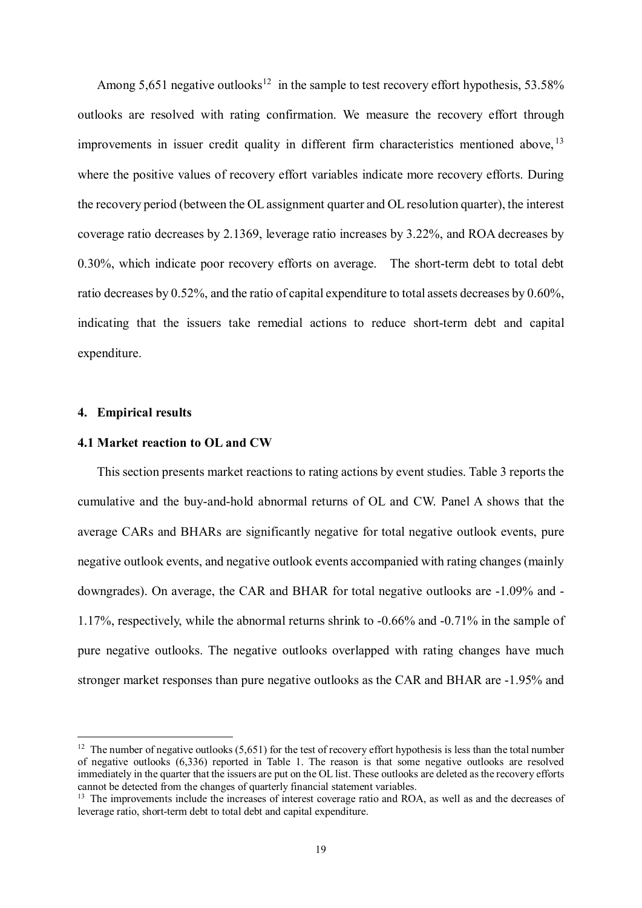Among 5,651 negative outlooks<sup>[12](#page-18-0)</sup> in the sample to test recovery effort hypothesis, 53.58% outlooks are resolved with rating confirmation. We measure the recovery effort through improvements in issuer credit quality in different firm characteristics mentioned above, <sup>[13](#page-18-1)</sup> where the positive values of recovery effort variables indicate more recovery efforts. During the recovery period (between the OL assignment quarter and OL resolution quarter), the interest coverage ratio decreases by 2.1369, leverage ratio increases by 3.22%, and ROA decreases by 0.30%, which indicate poor recovery efforts on average. The short-term debt to total debt ratio decreases by 0.52%, and the ratio of capital expenditure to total assets decreases by 0.60%, indicating that the issuers take remedial actions to reduce short-term debt and capital expenditure.

#### **4. Empirical results**

<u>.</u>

#### **4.1 Market reaction to OL and CW**

This section presents market reactions to rating actions by event studies. Table 3 reports the cumulative and the buy-and-hold abnormal returns of OL and CW. Panel A shows that the average CARs and BHARs are significantly negative for total negative outlook events, pure negative outlook events, and negative outlook events accompanied with rating changes (mainly downgrades). On average, the CAR and BHAR for total negative outlooks are -1.09% and - 1.17%, respectively, while the abnormal returns shrink to -0.66% and -0.71% in the sample of pure negative outlooks. The negative outlooks overlapped with rating changes have much stronger market responses than pure negative outlooks as the CAR and BHAR are -1.95% and

<span id="page-18-0"></span> $12$  The number of negative outlooks (5,651) for the test of recovery effort hypothesis is less than the total number of negative outlooks (6,336) reported in Table 1. The reason is that some negative outlooks are resolved immediately in the quarter that the issuers are put on the OL list. These outlooks are deleted as the recovery efforts cannot be detected from the changes of quarterly financial statement variables.

<span id="page-18-1"></span><sup>&</sup>lt;sup>13</sup> The improvements include the increases of interest coverage ratio and ROA, as well as and the decreases of leverage ratio, short-term debt to total debt and capital expenditure.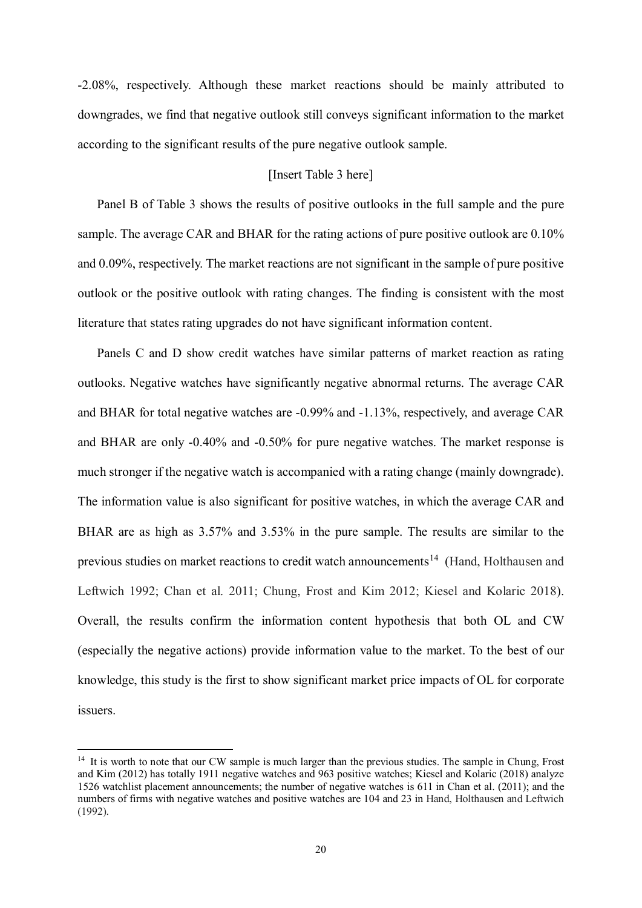-2.08%, respectively. Although these market reactions should be mainly attributed to downgrades, we find that negative outlook still conveys significant information to the market according to the significant results of the pure negative outlook sample.

#### [Insert Table 3 here]

Panel B of Table 3 shows the results of positive outlooks in the full sample and the pure sample. The average CAR and BHAR for the rating actions of pure positive outlook are 0.10% and 0.09%, respectively. The market reactions are not significant in the sample of pure positive outlook or the positive outlook with rating changes. The finding is consistent with the most literature that states rating upgrades do not have significant information content.

Panels C and D show credit watches have similar patterns of market reaction as rating outlooks. Negative watches have significantly negative abnormal returns. The average CAR and BHAR for total negative watches are -0.99% and -1.13%, respectively, and average CAR and BHAR are only -0.40% and -0.50% for pure negative watches. The market response is much stronger if the negative watch is accompanied with a rating change (mainly downgrade). The information value is also significant for positive watches, in which the average CAR and BHAR are as high as 3.57% and 3.53% in the pure sample. The results are similar to the previous studies on market reactions to credit watch announcements<sup>[14](#page-19-0)</sup> (Hand, Holthausen and Leftwich 1992; Chan et al. 2011; Chung, Frost and Kim 2012; Kiesel and Kolaric 2018). Overall, the results confirm the information content hypothesis that both OL and CW (especially the negative actions) provide information value to the market. To the best of our knowledge, this study is the first to show significant market price impacts of OL for corporate issuers.

<u>.</u>

<span id="page-19-0"></span><sup>&</sup>lt;sup>14</sup> It is worth to note that our CW sample is much larger than the previous studies. The sample in Chung, Frost and Kim (2012) has totally 1911 negative watches and 963 positive watches; Kiesel and Kolaric (2018) analyze 1526 watchlist placement announcements; the number of negative watches is 611 in Chan et al. (2011); and the numbers of firms with negative watches and positive watches are 104 and 23 in Hand, Holthausen and Leftwich (1992).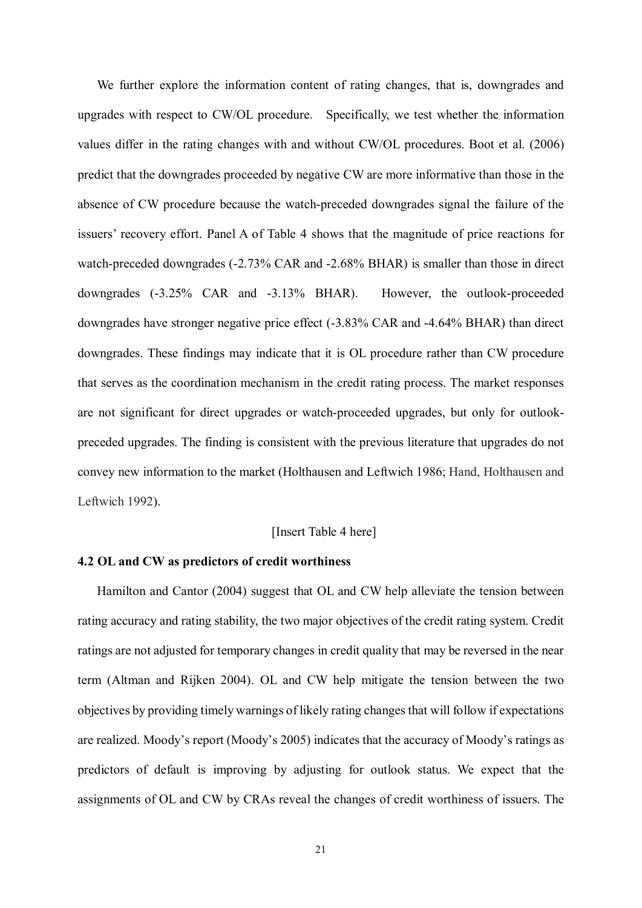We further explore the information content of rating changes, that is, downgrades and upgrades with respect to CW/OL procedure. Specifically, we test whether the information values differ in the rating changes with and without CW/OL procedures. Boot et al. (2006) predict that the downgrades proceeded by negative CW are more informative than those in the absence of CW procedure because the watch-preceded downgrades signal the failure of the issuers' recovery effort. Panel A of Table 4 shows that the magnitude of price reactions for watch-preceded downgrades (-2.73% CAR and -2.68% BHAR) is smaller than those in direct downgrades (-3.25% CAR and -3.13% BHAR). However, the outlook-proceeded downgrades have stronger negative price effect (-3.83% CAR and -4.64% BHAR) than direct downgrades. These findings may indicate that it is OL procedure rather than CW procedure that serves as the coordination mechanism in the credit rating process. The market responses are not significant for direct upgrades or watch-proceeded upgrades, but only for outlookpreceded upgrades. The finding is consistent with the previous literature that upgrades do not convey new information to the market (Holthausen and Leftwich 1986; Hand, Holthausen and Leftwich 1992).

#### [Insert Table 4 here]

#### **4.2 OL and CW as predictors of credit worthiness**

Hamilton and Cantor (2004) suggest that OL and CW help alleviate the tension between rating accuracy and rating stability, the two major objectives of the credit rating system. Credit ratings are not adjusted for temporary changes in credit quality that may be reversed in the near term (Altman and Rijken 2004). OL and CW help mitigate the tension between the two objectives by providing timely warnings of likely rating changes that will follow if expectations are realized. Moody's report (Moody's 2005) indicates that the accuracy of Moody's ratings as predictors of default is improving by adjusting for outlook status. We expect that the assignments of OL and CW by CRAs reveal the changes of credit worthiness of issuers. The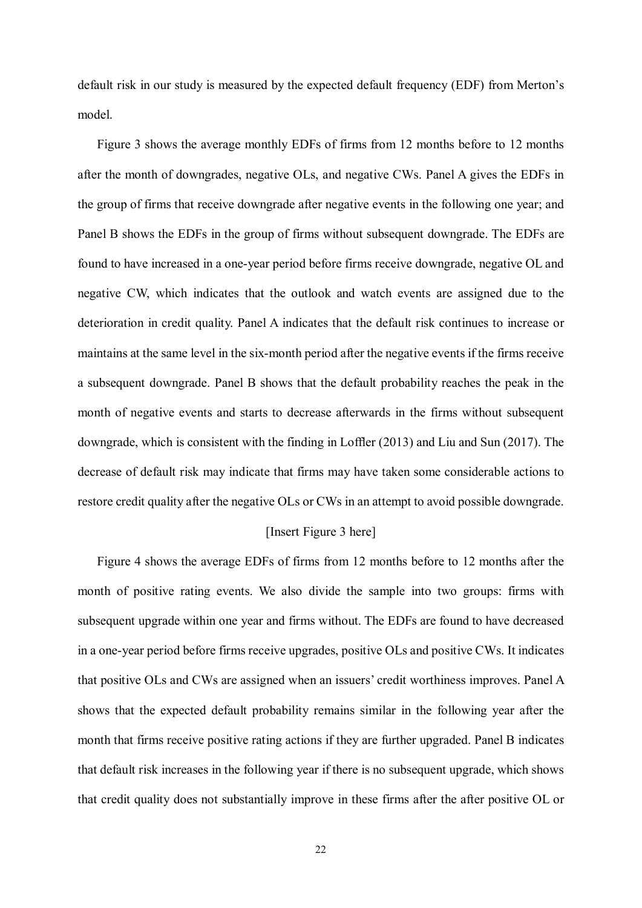default risk in our study is measured by the expected default frequency (EDF) from Merton's model.

Figure 3 shows the average monthly EDFs of firms from 12 months before to 12 months after the month of downgrades, negative OLs, and negative CWs. Panel A gives the EDFs in the group of firms that receive downgrade after negative events in the following one year; and Panel B shows the EDFs in the group of firms without subsequent downgrade. The EDFs are found to have increased in a one-year period before firms receive downgrade, negative OL and negative CW, which indicates that the outlook and watch events are assigned due to the deterioration in credit quality. Panel A indicates that the default risk continues to increase or maintains at the same level in the six-month period after the negative events if the firms receive a subsequent downgrade. Panel B shows that the default probability reaches the peak in the month of negative events and starts to decrease afterwards in the firms without subsequent downgrade, which is consistent with the finding in Loffler (2013) and Liu and Sun (2017). The decrease of default risk may indicate that firms may have taken some considerable actions to restore credit quality after the negative OLs or CWs in an attempt to avoid possible downgrade.

#### [Insert Figure 3 here]

Figure 4 shows the average EDFs of firms from 12 months before to 12 months after the month of positive rating events. We also divide the sample into two groups: firms with subsequent upgrade within one year and firms without. The EDFs are found to have decreased in a one-year period before firms receive upgrades, positive OLs and positive CWs. It indicates that positive OLs and CWs are assigned when an issuers' credit worthiness improves. Panel A shows that the expected default probability remains similar in the following year after the month that firms receive positive rating actions if they are further upgraded. Panel B indicates that default risk increases in the following year if there is no subsequent upgrade, which shows that credit quality does not substantially improve in these firms after the after positive OL or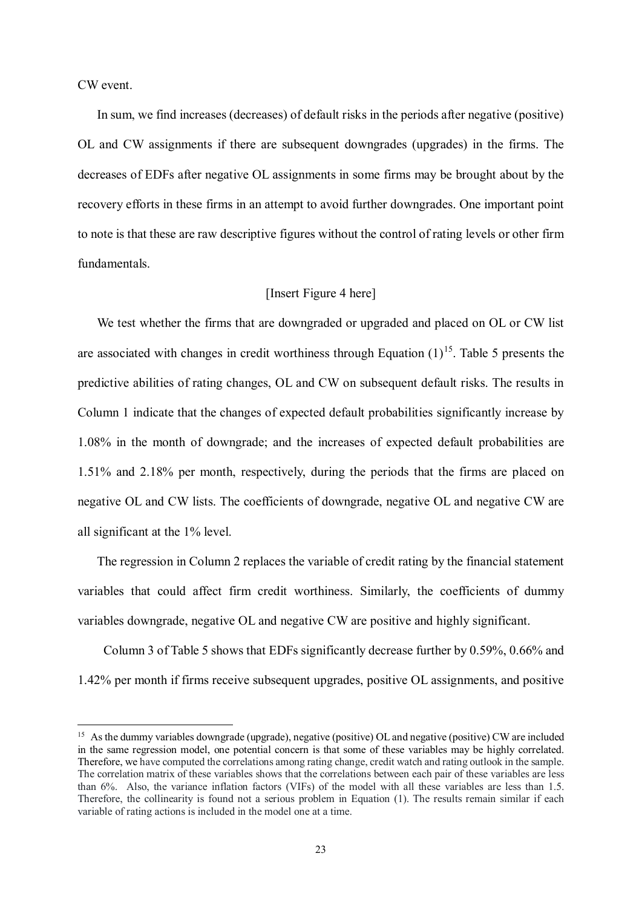CW event.

<u>.</u>

In sum, we find increases (decreases) of default risks in the periods after negative (positive) OL and CW assignments if there are subsequent downgrades (upgrades) in the firms. The decreases of EDFs after negative OL assignments in some firms may be brought about by the recovery efforts in these firms in an attempt to avoid further downgrades. One important point to note is that these are raw descriptive figures without the control of rating levels or other firm fundamentals.

#### [Insert Figure 4 here]

We test whether the firms that are downgraded or upgraded and placed on OL or CW list are associated with changes in credit worthiness through Equation  $(1)^{15}$  $(1)^{15}$  $(1)^{15}$ . Table 5 presents the predictive abilities of rating changes, OL and CW on subsequent default risks. The results in Column 1 indicate that the changes of expected default probabilities significantly increase by 1.08% in the month of downgrade; and the increases of expected default probabilities are 1.51% and 2.18% per month, respectively, during the periods that the firms are placed on negative OL and CW lists. The coefficients of downgrade, negative OL and negative CW are all significant at the 1% level.

The regression in Column 2 replaces the variable of credit rating by the financial statement variables that could affect firm credit worthiness. Similarly, the coefficients of dummy variables downgrade, negative OL and negative CW are positive and highly significant.

Column 3 of Table 5 shows that EDFs significantly decrease further by 0.59%, 0.66% and 1.42% per month if firms receive subsequent upgrades, positive OL assignments, and positive

<span id="page-22-0"></span><sup>&</sup>lt;sup>15</sup> As the dummy variables downgrade (upgrade), negative (positive) OL and negative (positive) CW are included in the same regression model, one potential concern is that some of these variables may be highly correlated. Therefore, we have computed the correlations among rating change, credit watch and rating outlook in the sample. The correlation matrix of these variables shows that the correlations between each pair of these variables are less than 6%. Also, the variance inflation factors (VIFs) of the model with all these variables are less than 1.5. Therefore, the collinearity is found not a serious problem in Equation (1). The results remain similar if each variable of rating actions is included in the model one at a time.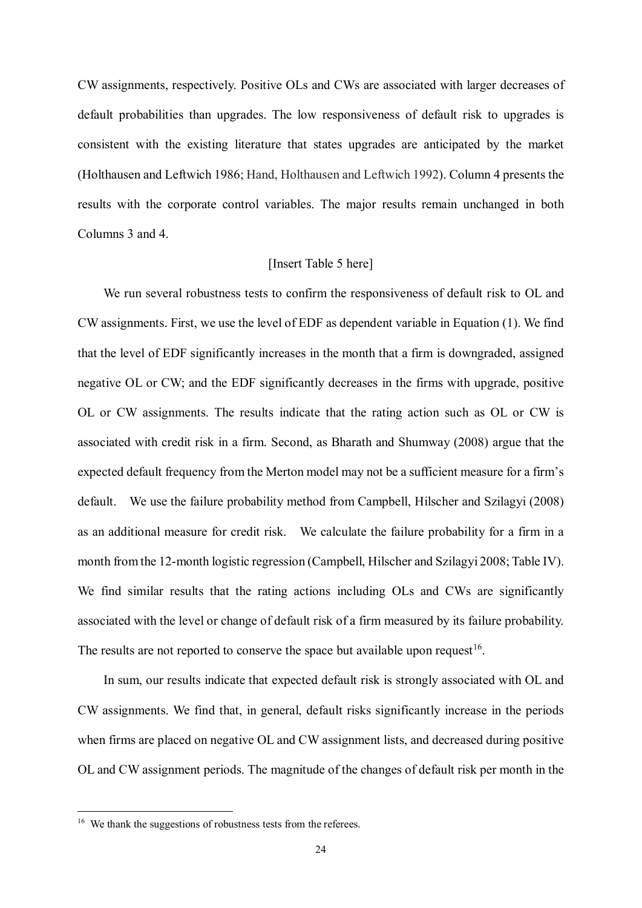CW assignments, respectively. Positive OLs and CWs are associated with larger decreases of default probabilities than upgrades. The low responsiveness of default risk to upgrades is consistent with the existing literature that states upgrades are anticipated by the market (Holthausen and Leftwich 1986; Hand, Holthausen and Leftwich 1992). Column 4 presents the results with the corporate control variables. The major results remain unchanged in both Columns 3 and 4.

#### [Insert Table 5 here]

We run several robustness tests to confirm the responsiveness of default risk to OL and CW assignments. First, we use the level of EDF as dependent variable in Equation (1). We find that the level of EDF significantly increases in the month that a firm is downgraded, assigned negative OL or CW; and the EDF significantly decreases in the firms with upgrade, positive OL or CW assignments. The results indicate that the rating action such as OL or CW is associated with credit risk in a firm. Second, as Bharath and Shumway (2008) argue that the expected default frequency from the Merton model may not be a sufficient measure for a firm's default. We use the failure probability method from Campbell, Hilscher and Szilagyi (2008) as an additional measure for credit risk. We calculate the failure probability for a firm in a month from the 12-month logistic regression (Campbell, Hilscher and Szilagyi 2008; Table IV). We find similar results that the rating actions including OLs and CWs are significantly associated with the level or change of default risk of a firm measured by its failure probability. The results are not reported to conserve the space but available upon request  $16$ .

In sum, our results indicate that expected default risk is strongly associated with OL and CW assignments. We find that, in general, default risks significantly increase in the periods when firms are placed on negative OL and CW assignment lists, and decreased during positive OL and CW assignment periods. The magnitude of the changes of default risk per month in the

<u>.</u>

<span id="page-23-0"></span><sup>&</sup>lt;sup>16</sup> We thank the suggestions of robustness tests from the referees.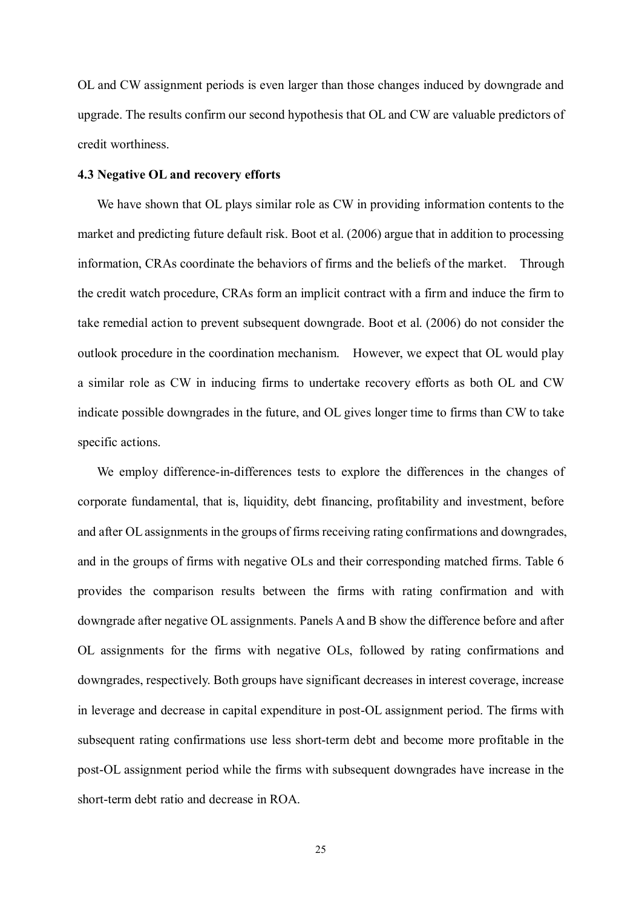OL and CW assignment periods is even larger than those changes induced by downgrade and upgrade. The results confirm our second hypothesis that OL and CW are valuable predictors of credit worthiness.

### **4.3 Negative OL and recovery efforts**

We have shown that OL plays similar role as CW in providing information contents to the market and predicting future default risk. Boot et al. (2006) argue that in addition to processing information, CRAs coordinate the behaviors of firms and the beliefs of the market. Through the credit watch procedure, CRAs form an implicit contract with a firm and induce the firm to take remedial action to prevent subsequent downgrade. Boot et al. (2006) do not consider the outlook procedure in the coordination mechanism. However, we expect that OL would play a similar role as CW in inducing firms to undertake recovery efforts as both OL and CW indicate possible downgrades in the future, and OL gives longer time to firms than CW to take specific actions.

We employ difference-in-differences tests to explore the differences in the changes of corporate fundamental, that is, liquidity, debt financing, profitability and investment, before and after OL assignments in the groups of firms receiving rating confirmations and downgrades, and in the groups of firms with negative OLs and their corresponding matched firms. Table 6 provides the comparison results between the firms with rating confirmation and with downgrade after negative OL assignments. Panels A and B show the difference before and after OL assignments for the firms with negative OLs, followed by rating confirmations and downgrades, respectively. Both groups have significant decreases in interest coverage, increase in leverage and decrease in capital expenditure in post-OL assignment period. The firms with subsequent rating confirmations use less short-term debt and become more profitable in the post-OL assignment period while the firms with subsequent downgrades have increase in the short-term debt ratio and decrease in ROA.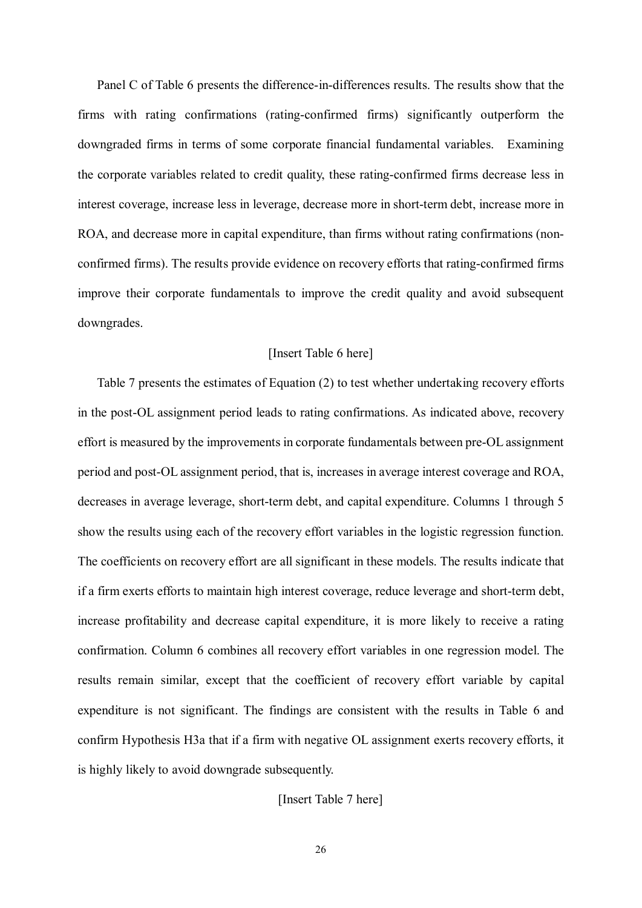Panel C of Table 6 presents the difference-in-differences results. The results show that the firms with rating confirmations (rating-confirmed firms) significantly outperform the downgraded firms in terms of some corporate financial fundamental variables. Examining the corporate variables related to credit quality, these rating-confirmed firms decrease less in interest coverage, increase less in leverage, decrease more in short-term debt, increase more in ROA, and decrease more in capital expenditure, than firms without rating confirmations (nonconfirmed firms). The results provide evidence on recovery efforts that rating-confirmed firms improve their corporate fundamentals to improve the credit quality and avoid subsequent downgrades.

#### [Insert Table 6 here]

Table 7 presents the estimates of Equation (2) to test whether undertaking recovery efforts in the post-OL assignment period leads to rating confirmations. As indicated above, recovery effort is measured by the improvements in corporate fundamentals between pre-OL assignment period and post-OL assignment period, that is, increases in average interest coverage and ROA, decreases in average leverage, short-term debt, and capital expenditure. Columns 1 through 5 show the results using each of the recovery effort variables in the logistic regression function. The coefficients on recovery effort are all significant in these models. The results indicate that if a firm exerts efforts to maintain high interest coverage, reduce leverage and short-term debt, increase profitability and decrease capital expenditure, it is more likely to receive a rating confirmation. Column 6 combines all recovery effort variables in one regression model. The results remain similar, except that the coefficient of recovery effort variable by capital expenditure is not significant. The findings are consistent with the results in Table 6 and confirm Hypothesis H3a that if a firm with negative OL assignment exerts recovery efforts, it is highly likely to avoid downgrade subsequently.

[Insert Table 7 here]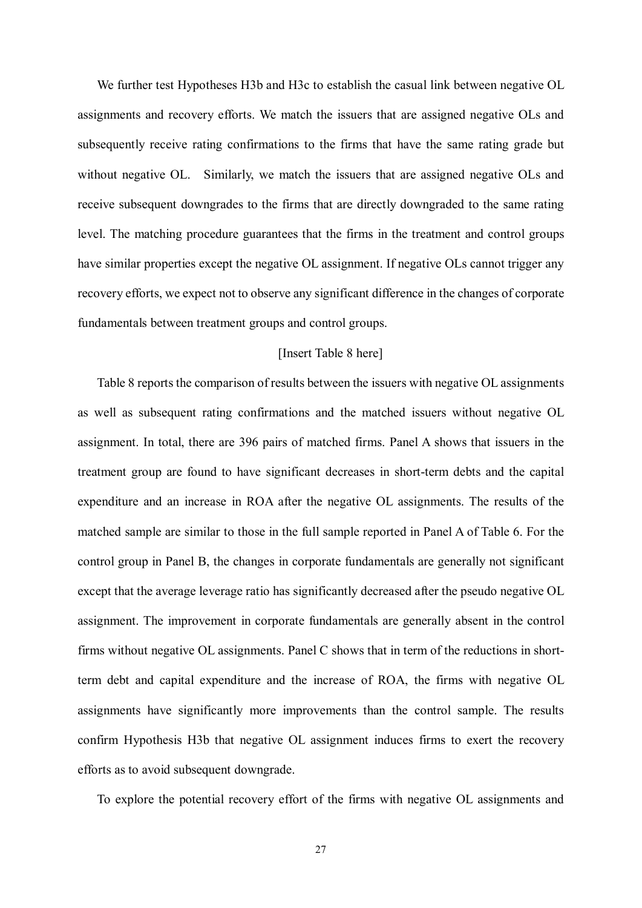We further test Hypotheses H3b and H3c to establish the casual link between negative OL assignments and recovery efforts. We match the issuers that are assigned negative OLs and subsequently receive rating confirmations to the firms that have the same rating grade but without negative OL. Similarly, we match the issuers that are assigned negative OLs and receive subsequent downgrades to the firms that are directly downgraded to the same rating level. The matching procedure guarantees that the firms in the treatment and control groups have similar properties except the negative OL assignment. If negative OLs cannot trigger any recovery efforts, we expect not to observe any significant difference in the changes of corporate fundamentals between treatment groups and control groups.

#### [Insert Table 8 here]

Table 8 reports the comparison of results between the issuers with negative OL assignments as well as subsequent rating confirmations and the matched issuers without negative OL assignment. In total, there are 396 pairs of matched firms. Panel A shows that issuers in the treatment group are found to have significant decreases in short-term debts and the capital expenditure and an increase in ROA after the negative OL assignments. The results of the matched sample are similar to those in the full sample reported in Panel A of Table 6. For the control group in Panel B, the changes in corporate fundamentals are generally not significant except that the average leverage ratio has significantly decreased after the pseudo negative OL assignment. The improvement in corporate fundamentals are generally absent in the control firms without negative OL assignments. Panel C shows that in term of the reductions in shortterm debt and capital expenditure and the increase of ROA, the firms with negative OL assignments have significantly more improvements than the control sample. The results confirm Hypothesis H3b that negative OL assignment induces firms to exert the recovery efforts as to avoid subsequent downgrade.

To explore the potential recovery effort of the firms with negative OL assignments and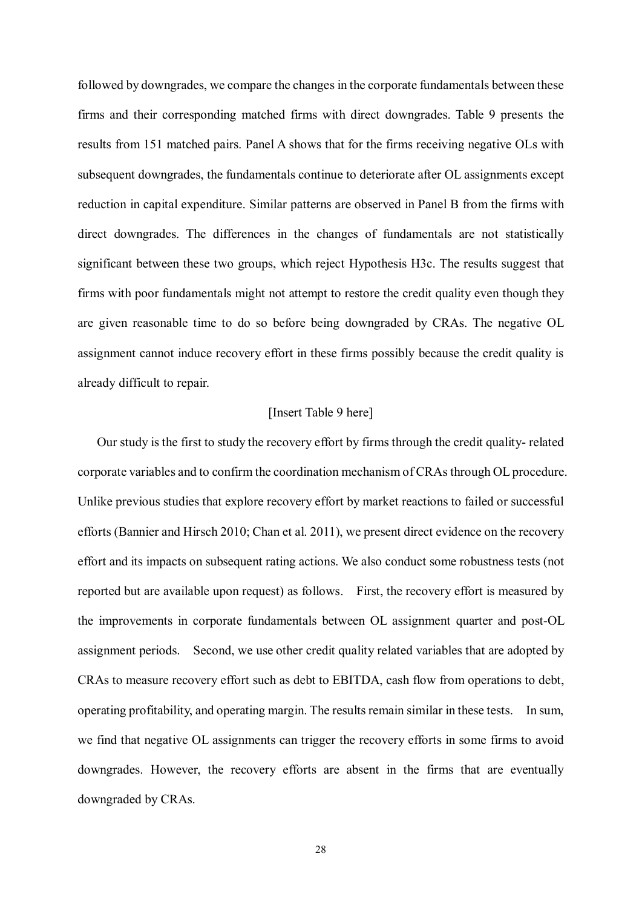followed by downgrades, we compare the changes in the corporate fundamentals between these firms and their corresponding matched firms with direct downgrades. Table 9 presents the results from 151 matched pairs. Panel A shows that for the firms receiving negative OLs with subsequent downgrades, the fundamentals continue to deteriorate after OL assignments except reduction in capital expenditure. Similar patterns are observed in Panel B from the firms with direct downgrades. The differences in the changes of fundamentals are not statistically significant between these two groups, which reject Hypothesis H3c. The results suggest that firms with poor fundamentals might not attempt to restore the credit quality even though they are given reasonable time to do so before being downgraded by CRAs. The negative OL assignment cannot induce recovery effort in these firms possibly because the credit quality is already difficult to repair.

#### [Insert Table 9 here]

Our study is the first to study the recovery effort by firms through the credit quality- related corporate variables and to confirm the coordination mechanism of CRAs through OL procedure. Unlike previous studies that explore recovery effort by market reactions to failed or successful efforts (Bannier and Hirsch 2010; Chan et al. 2011), we present direct evidence on the recovery effort and its impacts on subsequent rating actions. We also conduct some robustness tests (not reported but are available upon request) as follows. First, the recovery effort is measured by the improvements in corporate fundamentals between OL assignment quarter and post-OL assignment periods. Second, we use other credit quality related variables that are adopted by CRAs to measure recovery effort such as debt to EBITDA, cash flow from operations to debt, operating profitability, and operating margin. The results remain similar in these tests. In sum, we find that negative OL assignments can trigger the recovery efforts in some firms to avoid downgrades. However, the recovery efforts are absent in the firms that are eventually downgraded by CRAs.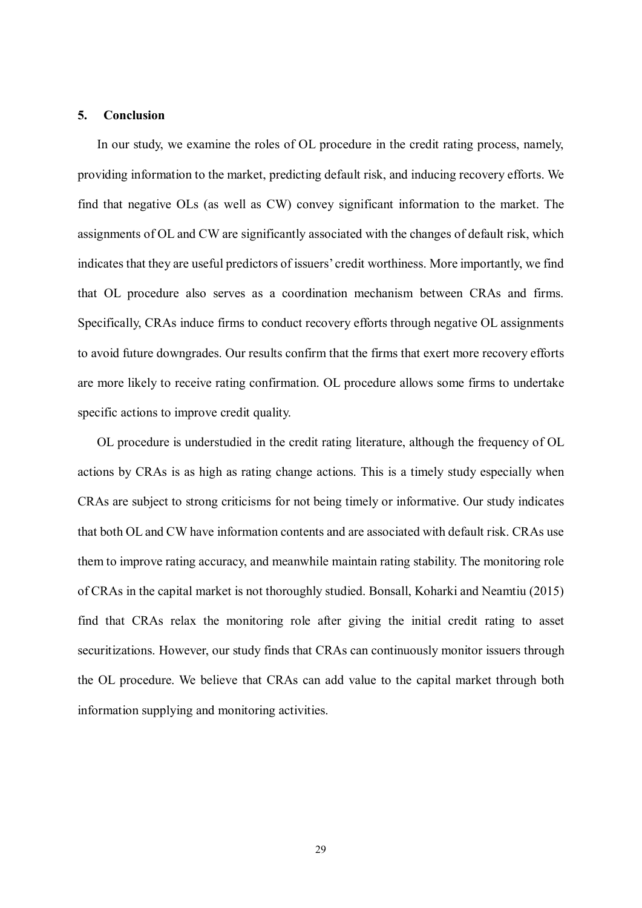#### **5. Conclusion**

In our study, we examine the roles of OL procedure in the credit rating process, namely, providing information to the market, predicting default risk, and inducing recovery efforts. We find that negative OLs (as well as CW) convey significant information to the market. The assignments of OL and CW are significantly associated with the changes of default risk, which indicates that they are useful predictors of issuers' credit worthiness. More importantly, we find that OL procedure also serves as a coordination mechanism between CRAs and firms. Specifically, CRAs induce firms to conduct recovery efforts through negative OL assignments to avoid future downgrades. Our results confirm that the firms that exert more recovery efforts are more likely to receive rating confirmation. OL procedure allows some firms to undertake specific actions to improve credit quality.

OL procedure is understudied in the credit rating literature, although the frequency of OL actions by CRAs is as high as rating change actions. This is a timely study especially when CRAs are subject to strong criticisms for not being timely or informative. Our study indicates that both OL and CW have information contents and are associated with default risk. CRAs use them to improve rating accuracy, and meanwhile maintain rating stability. The monitoring role of CRAs in the capital market is not thoroughly studied. Bonsall, Koharki and Neamtiu (2015) find that CRAs relax the monitoring role after giving the initial credit rating to asset securitizations. However, our study finds that CRAs can continuously monitor issuers through the OL procedure. We believe that CRAs can add value to the capital market through both information supplying and monitoring activities.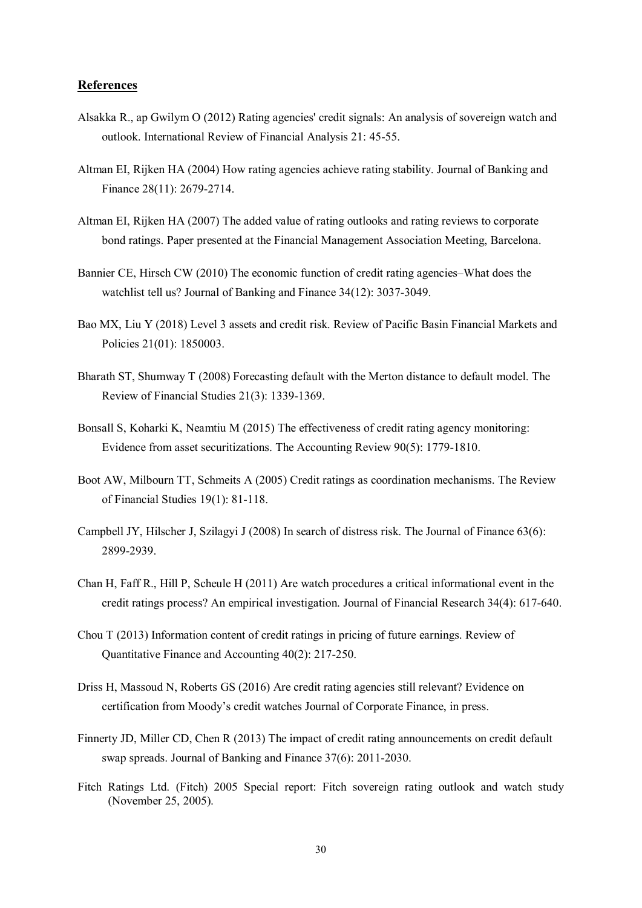#### **References**

- Alsakka R., ap Gwilym O (2012) Rating agencies' credit signals: An analysis of sovereign watch and outlook. International Review of Financial Analysis 21: 45-55.
- Altman EI, Rijken HA (2004) How rating agencies achieve rating stability. Journal of Banking and Finance 28(11): 2679-2714.
- Altman EI, Rijken HA (2007) The added value of rating outlooks and rating reviews to corporate bond ratings. Paper presented at the Financial Management Association Meeting, Barcelona.
- Bannier CE, Hirsch CW (2010) The economic function of credit rating agencies–What does the watchlist tell us? Journal of Banking and Finance 34(12): 3037-3049.
- Bao MX, Liu Y (2018) Level 3 assets and credit risk. Review of Pacific Basin Financial Markets and Policies 21(01): 1850003.
- Bharath ST, Shumway T (2008) Forecasting default with the Merton distance to default model. The Review of Financial Studies 21(3): 1339-1369.
- Bonsall S, Koharki K, Neamtiu M (2015) The effectiveness of credit rating agency monitoring: Evidence from asset securitizations. The Accounting Review 90(5): 1779-1810.
- Boot AW, Milbourn TT, Schmeits A (2005) Credit ratings as coordination mechanisms. The Review of Financial Studies 19(1): 81-118.
- Campbell JY, Hilscher J, Szilagyi J (2008) In search of distress risk. The Journal of Finance 63(6): 2899-2939.
- Chan H, Faff R., Hill P, Scheule H (2011) Are watch procedures a critical informational event in the credit ratings process? An empirical investigation. Journal of Financial Research 34(4): 617-640.
- Chou T (2013) Information content of credit ratings in pricing of future earnings. Review of Quantitative Finance and Accounting 40(2): 217-250.
- Driss H, Massoud N, Roberts GS (2016) Are credit rating agencies still relevant? Evidence on certification from Moody's credit watches Journal of Corporate Finance, in press.
- Finnerty JD, Miller CD, Chen R (2013) The impact of credit rating announcements on credit default swap spreads. Journal of Banking and Finance 37(6): 2011-2030.
- Fitch Ratings Ltd. (Fitch) 2005 Special report: Fitch sovereign rating outlook and watch study (November 25, 2005).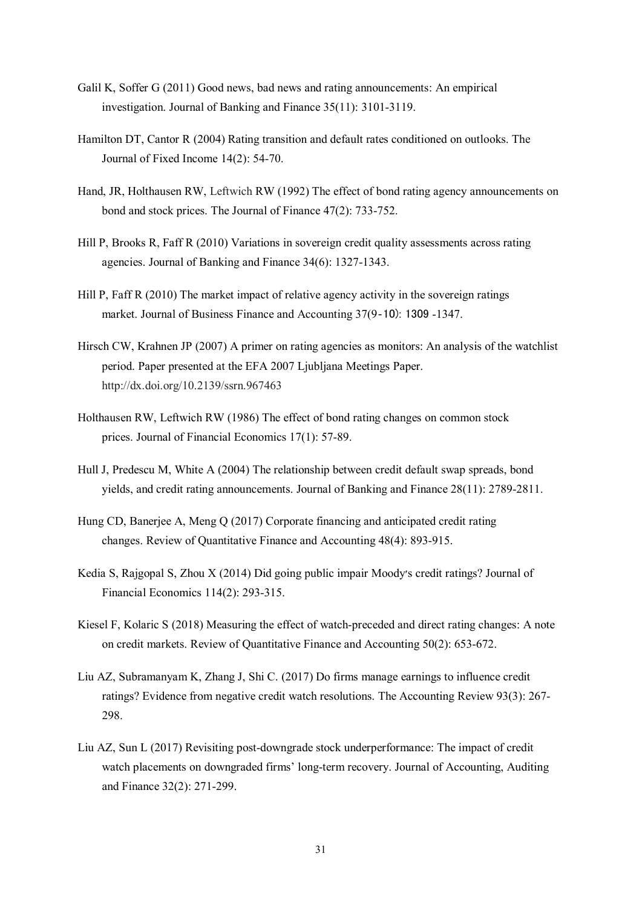- Galil K, Soffer G (2011) Good news, bad news and rating announcements: An empirical investigation. Journal of Banking and Finance 35(11): 3101-3119.
- Hamilton DT, Cantor R (2004) Rating transition and default rates conditioned on outlooks. The Journal of Fixed Income 14(2): 54-70.
- Hand, JR, Holthausen RW, Leftwich RW (1992) The effect of bond rating agency announcements on bond and stock prices. The Journal of Finance 47(2): 733-752.
- Hill P, Brooks R, Faff R (2010) Variations in sovereign credit quality assessments across rating agencies. Journal of Banking and Finance 34(6): 1327-1343.
- Hill P, Faff R (2010) The market impact of relative agency activity in the sovereign ratings market. Journal of Business Finance and Accounting 37(9‐10): 1309 -1347.
- Hirsch CW, Krahnen JP (2007) A primer on rating agencies as monitors: An analysis of the watchlist period. Paper presented at the EFA 2007 Ljubljana Meetings Paper. http://dx.doi.org/10.2139/ssrn.967463
- Holthausen RW, Leftwich RW (1986) The effect of bond rating changes on common stock prices. Journal of Financial Economics 17(1): 57-89.
- Hull J, Predescu M, White A (2004) The relationship between credit default swap spreads, bond yields, and credit rating announcements. Journal of Banking and Finance 28(11): 2789-2811.
- Hung CD, Banerjee A, Meng Q (2017) Corporate financing and anticipated credit rating changes. Review of Quantitative Finance and Accounting 48(4): 893-915.
- Kedia S, Rajgopal S, Zhou X (2014) Did going public impair Moody׳s credit ratings? Journal of Financial Economics 114(2): 293-315.
- Kiesel F, Kolaric S (2018) Measuring the effect of watch-preceded and direct rating changes: A note on credit markets. Review of Quantitative Finance and Accounting 50(2): 653-672.
- Liu AZ, Subramanyam K, Zhang J, Shi C. (2017) Do firms manage earnings to influence credit ratings? Evidence from negative credit watch resolutions. The Accounting Review 93(3): 267- 298.
- Liu AZ, Sun L (2017) Revisiting post-downgrade stock underperformance: The impact of credit watch placements on downgraded firms' long-term recovery. Journal of Accounting, Auditing and Finance 32(2): 271-299.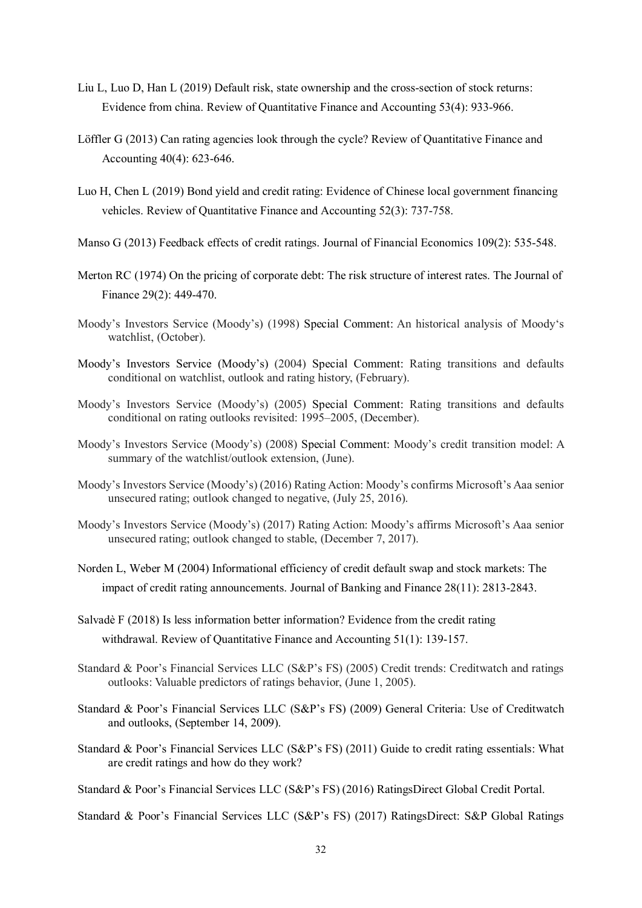- Liu L, Luo D, Han L (2019) Default risk, state ownership and the cross-section of stock returns: Evidence from china. Review of Quantitative Finance and Accounting 53(4): 933-966.
- Löffler G (2013) Can rating agencies look through the cycle? Review of Quantitative Finance and Accounting 40(4): 623-646.
- Luo H, Chen L (2019) Bond yield and credit rating: Evidence of Chinese local government financing vehicles. Review of Quantitative Finance and Accounting 52(3): 737-758.
- Manso G (2013) Feedback effects of credit ratings. Journal of Financial Economics 109(2): 535-548.
- Merton RC (1974) On the pricing of corporate debt: The risk structure of interest rates. The Journal of Finance 29(2): 449-470.
- Moody's Investors Service (Moody's) (1998) Special Comment: An historical analysis of Moody's watchlist, (October).
- Moody's Investors Service (Moody's) (2004) Special Comment: Rating transitions and defaults conditional on watchlist, outlook and rating history, (February).
- Moody's Investors Service (Moody's) (2005) Special Comment: Rating transitions and defaults conditional on rating outlooks revisited: 1995–2005, (December).
- Moody's Investors Service (Moody's) (2008) Special Comment: Moody's credit transition model: A summary of the watchlist/outlook extension, (June).
- Moody's Investors Service (Moody's) (2016) Rating Action: Moody's confirms Microsoft's Aaa senior unsecured rating; outlook changed to negative, (July 25, 2016).
- Moody's Investors Service (Moody's) (2017) Rating Action: Moody's affirms Microsoft's Aaa senior unsecured rating; outlook changed to stable, (December 7, 2017).
- Norden L, Weber M (2004) Informational efficiency of credit default swap and stock markets: The impact of credit rating announcements. Journal of Banking and Finance 28(11): 2813-2843.
- Salvadè F (2018) Is less information better information? Evidence from the credit rating withdrawal. Review of Quantitative Finance and Accounting 51(1): 139-157.
- Standard & Poor's Financial Services LLC (S&P's FS) (2005) Credit trends: Creditwatch and ratings outlooks: Valuable predictors of ratings behavior, (June 1, 2005).
- Standard & Poor's Financial Services LLC (S&P's FS) (2009) General Criteria: Use of Creditwatch and outlooks, (September 14, 2009).
- Standard & Poor's Financial Services LLC (S&P's FS) (2011) Guide to credit rating essentials: What are credit ratings and how do they work?
- Standard & Poor's Financial Services LLC (S&P's FS) (2016) RatingsDirect Global Credit Portal.
- Standard & Poor's Financial Services LLC (S&P's FS) (2017) RatingsDirect: S&P Global Ratings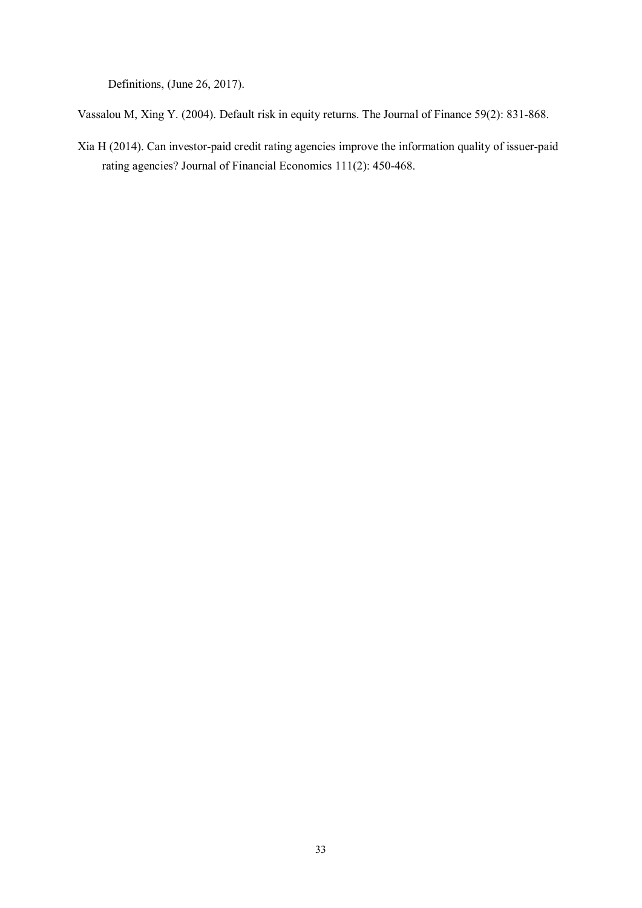Definitions, (June 26, 2017).

Vassalou M, Xing Y. (2004). Default risk in equity returns. The Journal of Finance 59(2): 831-868.

Xia H (2014). Can investor-paid credit rating agencies improve the information quality of issuer-paid rating agencies? Journal of Financial Economics 111(2): 450-468.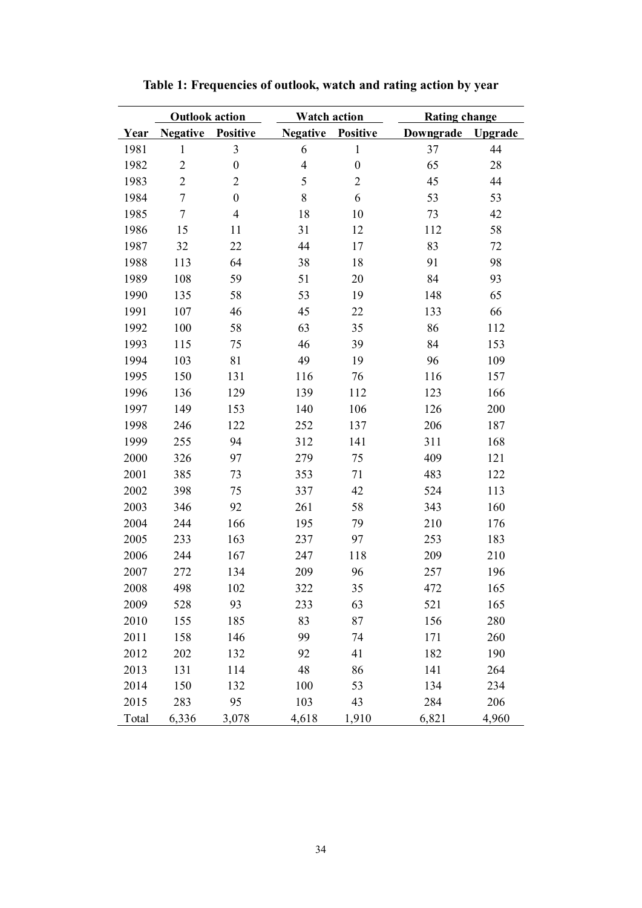|       | <b>Outlook action</b> |                         | <b>Watch action</b> |                  | <b>Rating change</b> |                |  |
|-------|-----------------------|-------------------------|---------------------|------------------|----------------------|----------------|--|
| Year  | <b>Negative</b>       | <b>Positive</b>         | <b>Negative</b>     | <b>Positive</b>  | Downgrade            | <b>Upgrade</b> |  |
| 1981  | $\mathbf{1}$          | $\overline{\mathbf{3}}$ | 6                   | $\mathbf{1}$     | 37                   | 44             |  |
| 1982  | $\overline{c}$        | $\boldsymbol{0}$        | $\overline{4}$      | $\boldsymbol{0}$ | 65                   | 28             |  |
| 1983  | $\overline{c}$        | $\overline{c}$          | 5                   | $\overline{c}$   | 45                   | 44             |  |
| 1984  | $\sqrt{ }$            | $\boldsymbol{0}$        | $8\,$               | 6                | 53                   | 53             |  |
| 1985  | $\boldsymbol{7}$      | $\overline{4}$          | 18                  | 10               | 73                   | 42             |  |
| 1986  | 15                    | 11                      | 31                  | 12               | 112                  | 58             |  |
| 1987  | 32                    | 22                      | 44                  | 17               | 83                   | 72             |  |
| 1988  | 113                   | 64                      | 38                  | 18               | 91                   | 98             |  |
| 1989  | 108                   | 59                      | 51                  | 20               | 84                   | 93             |  |
| 1990  | 135                   | 58                      | 53                  | 19               | 148                  | 65             |  |
| 1991  | 107                   | 46                      | 45                  | 22               | 133                  | 66             |  |
| 1992  | 100                   | 58                      | 63                  | 35               | 86                   | 112            |  |
| 1993  | 115                   | 75                      | 46                  | 39               | 84                   | 153            |  |
| 1994  | 103                   | 81                      | 49                  | 19               | 96                   | 109            |  |
| 1995  | 150                   | 131                     | 116                 | 76               | 116                  | 157            |  |
| 1996  | 136                   | 129                     | 139                 | 112              | 123                  | 166            |  |
| 1997  | 149                   | 153                     | 140                 | 106              | 126                  | 200            |  |
| 1998  | 246                   | 122                     | 252                 | 137              | 206                  | 187            |  |
| 1999  | 255                   | 94                      | 312                 | 141              | 311                  | 168            |  |
| 2000  | 326                   | 97                      | 279                 | 75               | 409                  | 121            |  |
| 2001  | 385                   | 73                      | 353                 | 71               | 483                  | 122            |  |
| 2002  | 398                   | 75                      | 337                 | 42               | 524                  | 113            |  |
| 2003  | 346                   | 92                      | 261                 | 58               | 343                  | 160            |  |
| 2004  | 244                   | 166                     | 195                 | 79               | 210                  | 176            |  |
| 2005  | 233                   | 163                     | 237                 | 97               | 253                  | 183            |  |
| 2006  | 244                   | 167                     | 247                 | 118              | 209                  | 210            |  |
| 2007  | 272                   | 134                     | 209                 | 96               | 257                  | 196            |  |
| 2008  | 498                   | 102                     | 322                 | 35               | 472                  | 165            |  |
| 2009  | 528                   | 93                      | 233                 | 63               | 521                  | 165            |  |
| 2010  | 155                   | 185                     | 83                  | 87               | 156                  | 280            |  |
| 2011  | 158                   | 146                     | 99                  | 74               | 171                  | 260            |  |
| 2012  | 202                   | 132                     | 92                  | 41               | 182                  | 190            |  |
| 2013  | 131                   | 114                     | 48                  | 86               | 141                  | 264            |  |
| 2014  | 150                   | 132                     | 100                 | 53               | 134                  | 234            |  |
| 2015  | 283                   | 95                      | 103                 | 43               | 284                  | 206            |  |
| Total | 6,336                 | 3,078                   | 4,618               | 1,910            | 6,821                | 4,960          |  |

**Table 1: Frequencies of outlook, watch and rating action by year**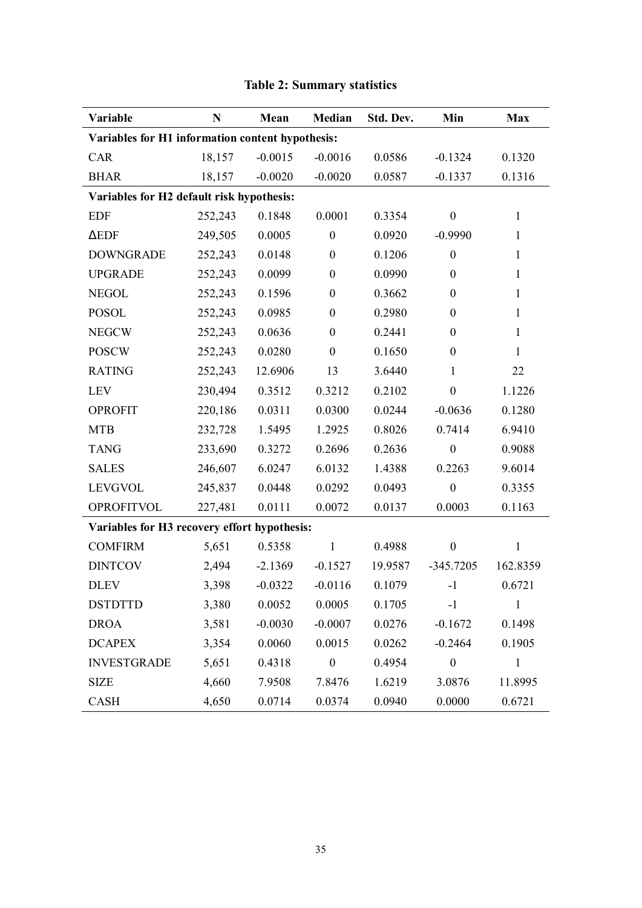| Variable                                         | $\mathbf N$ | Mean      | Median           | Std. Dev. | Min              | <b>Max</b>   |
|--------------------------------------------------|-------------|-----------|------------------|-----------|------------------|--------------|
| Variables for H1 information content hypothesis: |             |           |                  |           |                  |              |
| CAR                                              | 18,157      | $-0.0015$ | $-0.0016$        | 0.0586    | $-0.1324$        | 0.1320       |
| <b>BHAR</b>                                      | 18,157      | $-0.0020$ | $-0.0020$        | 0.0587    | $-0.1337$        | 0.1316       |
| Variables for H2 default risk hypothesis:        |             |           |                  |           |                  |              |
| <b>EDF</b>                                       | 252,243     | 0.1848    | 0.0001           | 0.3354    | $\boldsymbol{0}$ | $\mathbf{1}$ |
| $\triangle EDF$                                  | 249,505     | 0.0005    | $\boldsymbol{0}$ | 0.0920    | $-0.9990$        | $\mathbf{1}$ |
| <b>DOWNGRADE</b>                                 | 252,243     | 0.0148    | $\boldsymbol{0}$ | 0.1206    | $\boldsymbol{0}$ | $\mathbf{1}$ |
| <b>UPGRADE</b>                                   | 252,243     | 0.0099    | $\boldsymbol{0}$ | 0.0990    | $\boldsymbol{0}$ | $\mathbf{1}$ |
| <b>NEGOL</b>                                     | 252,243     | 0.1596    | $\boldsymbol{0}$ | 0.3662    | $\boldsymbol{0}$ | $\mathbf{1}$ |
| <b>POSOL</b>                                     | 252,243     | 0.0985    | $\boldsymbol{0}$ | 0.2980    | $\boldsymbol{0}$ | $\mathbf{1}$ |
| <b>NEGCW</b>                                     | 252,243     | 0.0636    | $\boldsymbol{0}$ | 0.2441    | $\boldsymbol{0}$ | $\mathbf{1}$ |
| <b>POSCW</b>                                     | 252,243     | 0.0280    | $\boldsymbol{0}$ | 0.1650    | $\boldsymbol{0}$ | $\mathbf{1}$ |
| <b>RATING</b>                                    | 252,243     | 12.6906   | 13               | 3.6440    | $\mathbf{1}$     | 22           |
| <b>LEV</b>                                       | 230,494     | 0.3512    | 0.3212           | 0.2102    | $\boldsymbol{0}$ | 1.1226       |
| <b>OPROFIT</b>                                   | 220,186     | 0.0311    | 0.0300           | 0.0244    | $-0.0636$        | 0.1280       |
| <b>MTB</b>                                       | 232,728     | 1.5495    | 1.2925           | 0.8026    | 0.7414           | 6.9410       |
| <b>TANG</b>                                      | 233,690     | 0.3272    | 0.2696           | 0.2636    | $\boldsymbol{0}$ | 0.9088       |
| <b>SALES</b>                                     | 246,607     | 6.0247    | 6.0132           | 1.4388    | 0.2263           | 9.6014       |
| <b>LEVGVOL</b>                                   | 245,837     | 0.0448    | 0.0292           | 0.0493    | $\boldsymbol{0}$ | 0.3355       |
| <b>OPROFITVOL</b>                                | 227,481     | 0.0111    | 0.0072           | 0.0137    | 0.0003           | 0.1163       |
| Variables for H3 recovery effort hypothesis:     |             |           |                  |           |                  |              |
| <b>COMFIRM</b>                                   | 5,651       | 0.5358    | $\mathbf{1}$     | 0.4988    | $\boldsymbol{0}$ | $\mathbf{1}$ |
| <b>DINTCOV</b>                                   | 2,494       | $-2.1369$ | $-0.1527$        | 19.9587   | $-345.7205$      | 162.8359     |
| <b>DLEV</b>                                      | 3,398       | $-0.0322$ | $-0.0116$        | 0.1079    | $-1$             | 0.6721       |
| <b>DSTDTTD</b>                                   | 3,380       | 0.0052    | 0.0005           | 0.1705    | $-1$             | $\mathbf{1}$ |
| <b>DROA</b>                                      | 3,581       | $-0.0030$ | $-0.0007$        | 0.0276    | $-0.1672$        | 0.1498       |
| <b>DCAPEX</b>                                    | 3,354       | 0.0060    | 0.0015           | 0.0262    | $-0.2464$        | 0.1905       |
| <b>INVESTGRADE</b>                               | 5,651       | 0.4318    | $\boldsymbol{0}$ | 0.4954    | $\boldsymbol{0}$ | $\mathbf{1}$ |
| <b>SIZE</b>                                      | 4,660       | 7.9508    | 7.8476           | 1.6219    | 3.0876           | 11.8995      |
| <b>CASH</b>                                      | 4,650       | 0.0714    | 0.0374           | 0.0940    | 0.0000           | 0.6721       |

# **Table 2: Summary statistics**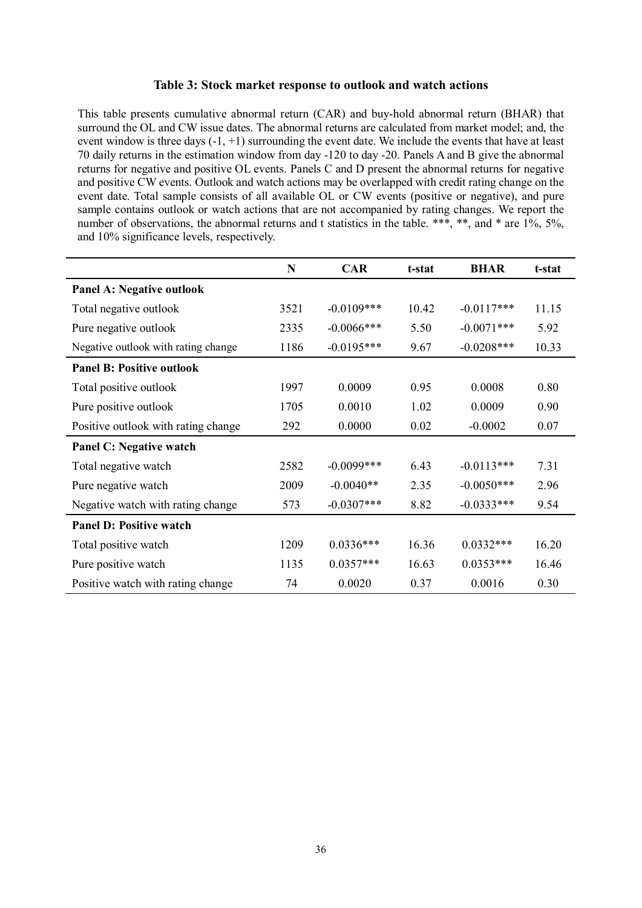#### **Table 3: Stock market response to outlook and watch actions**

This table presents cumulative abnormal return (CAR) and buy-hold abnormal return (BHAR) that surround the OL and CW issue dates. The abnormal returns are calculated from market model; and, the event window is three days (-1, +1) surrounding the event date. We include the events that have at least 70 daily returns in the estimation window from day -120 to day -20. Panels A and B give the abnormal returns for negative and positive OL events. Panels C and D present the abnormal returns for negative and positive CW events. Outlook and watch actions may be overlapped with credit rating change on the event date. Total sample consists of all available OL or CW events (positive or negative), and pure sample contains outlook or watch actions that are not accompanied by rating changes. We report the number of observations, the abnormal returns and t statistics in the table. \*\*\*, \*\*, and \* are 1%, 5%, and 10% significance levels, respectively.

|                                     | N    | <b>CAR</b>    | t-stat | <b>BHAR</b>  | t-stat |
|-------------------------------------|------|---------------|--------|--------------|--------|
| <b>Panel A: Negative outlook</b>    |      |               |        |              |        |
| Total negative outlook              | 3521 | $-0.0109***$  | 10.42  | $-0.0117***$ | 11.15  |
| Pure negative outlook               | 2335 | $-0.0066$ *** | 5.50   | $-0.0071***$ | 5.92   |
| Negative outlook with rating change | 1186 | $-0.0195***$  | 9.67   | $-0.0208***$ | 10.33  |
| <b>Panel B: Positive outlook</b>    |      |               |        |              |        |
| Total positive outlook              | 1997 | 0.0009        | 0.95   | 0.0008       | 0.80   |
| Pure positive outlook               | 1705 | 0.0010        | 1.02   | 0.0009       | 0.90   |
| Positive outlook with rating change | 292  | 0.0000        | 0.02   | $-0.0002$    | 0.07   |
| Panel C: Negative watch             |      |               |        |              |        |
| Total negative watch                | 2582 | $-0.0099$ *** | 6.43   | $-0.0113***$ | 7.31   |
| Pure negative watch                 | 2009 | $-0.0040**$   | 2.35   | $-0.0050***$ | 2.96   |
| Negative watch with rating change   | 573  | $-0.0307***$  | 8.82   | $-0.0333***$ | 9.54   |
| <b>Panel D: Positive watch</b>      |      |               |        |              |        |
| Total positive watch                | 1209 | $0.0336***$   | 16.36  | $0.0332***$  | 16.20  |
| Pure positive watch                 | 1135 | $0.0357***$   | 16.63  | $0.0353***$  | 16.46  |
| Positive watch with rating change   | 74   | 0.0020        | 0.37   | 0.0016       | 0.30   |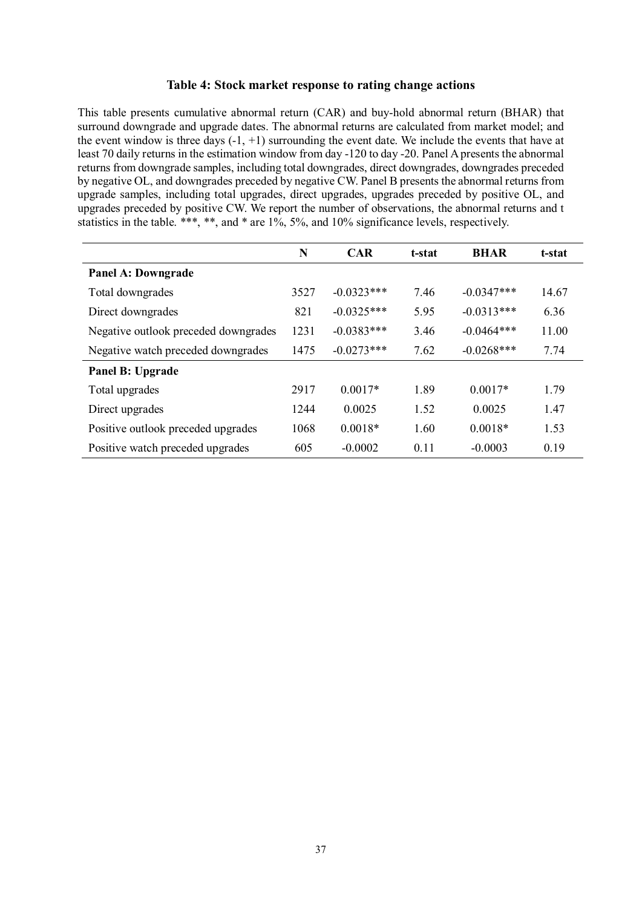#### **Table 4: Stock market response to rating change actions**

This table presents cumulative abnormal return (CAR) and buy-hold abnormal return (BHAR) that surround downgrade and upgrade dates. The abnormal returns are calculated from market model; and the event window is three days  $(-1, +1)$  surrounding the event date. We include the events that have at least 70 daily returns in the estimation window from day -120 to day -20. Panel A presents the abnormal returns from downgrade samples, including total downgrades, direct downgrades, downgrades preceded by negative OL, and downgrades preceded by negative CW. Panel B presents the abnormal returns from upgrade samples, including total upgrades, direct upgrades, upgrades preceded by positive OL, and upgrades preceded by positive CW. We report the number of observations, the abnormal returns and t statistics in the table. \*\*\*, \*\*, and \* are  $1\%$ , 5%, and 10% significance levels, respectively.

|                                      | N    | <b>CAR</b>   | t-stat | <b>BHAR</b>  | t-stat |
|--------------------------------------|------|--------------|--------|--------------|--------|
| <b>Panel A: Downgrade</b>            |      |              |        |              |        |
| Total downgrades                     | 3527 | $-0.0323***$ | 7.46   | $-0.0347***$ | 14.67  |
| Direct downgrades                    | 821  | $-0.0325***$ | 5.95   | $-0.0313***$ | 6.36   |
| Negative outlook preceded downgrades | 1231 | $-0.0383***$ | 3.46   | $-0.0464***$ | 11.00  |
| Negative watch preceded downgrades   | 1475 | $-0.0273***$ | 7.62   | $-0.0268***$ | 7.74   |
| Panel B: Upgrade                     |      |              |        |              |        |
| Total upgrades                       | 2917 | $0.0017*$    | 1.89   | $0.0017*$    | 1.79   |
| Direct upgrades                      | 1244 | 0.0025       | 1.52   | 0.0025       | 1.47   |
| Positive outlook preceded upgrades   | 1068 | $0.0018*$    | 1.60   | $0.0018*$    | 1.53   |
| Positive watch preceded upgrades     | 605  | $-0.0002$    | 0.11   | $-0.0003$    | 0.19   |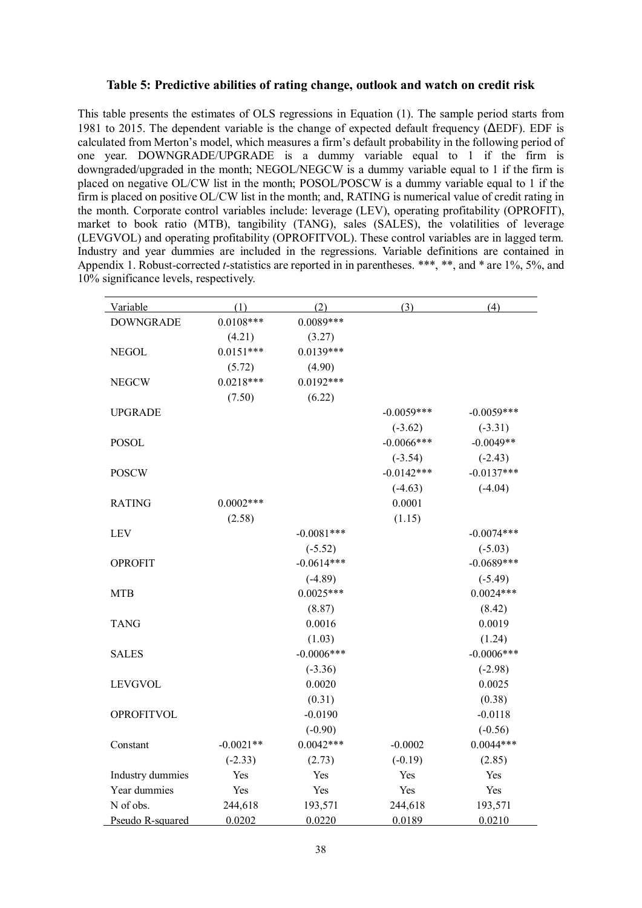#### **Table 5: Predictive abilities of rating change, outlook and watch on credit risk**

This table presents the estimates of OLS regressions in Equation (1). The sample period starts from 1981 to 2015. The dependent variable is the change of expected default frequency (ΔEDF). EDF is calculated from Merton's model, which measures a firm's default probability in the following period of one year. DOWNGRADE/UPGRADE is a dummy variable equal to 1 if the firm is downgraded/upgraded in the month; NEGOL/NEGCW is a dummy variable equal to 1 if the firm is placed on negative OL/CW list in the month; POSOL/POSCW is a dummy variable equal to 1 if the firm is placed on positive OL/CW list in the month; and, RATING is numerical value of credit rating in the month. Corporate control variables include: leverage (LEV), operating profitability (OPROFIT), market to book ratio (MTB), tangibility (TANG), sales (SALES), the volatilities of leverage (LEVGVOL) and operating profitability (OPROFITVOL). These control variables are in lagged term. Industry and year dummies are included in the regressions. Variable definitions are contained in Appendix 1. Robust-corrected *t*-statistics are reported in in parentheses. \*\*\*, \*\*, and \* are 1%, 5%, and 10% significance levels, respectively.

| Variable          | (1)         | (2)          | (3)          | (4)          |
|-------------------|-------------|--------------|--------------|--------------|
| <b>DOWNGRADE</b>  | $0.0108***$ | $0.0089***$  |              |              |
|                   | (4.21)      | (3.27)       |              |              |
| <b>NEGOL</b>      | $0.0151***$ | $0.0139***$  |              |              |
|                   | (5.72)      | (4.90)       |              |              |
| <b>NEGCW</b>      | $0.0218***$ | $0.0192***$  |              |              |
|                   | (7.50)      | (6.22)       |              |              |
| <b>UPGRADE</b>    |             |              | $-0.0059***$ | $-0.0059***$ |
|                   |             |              | $(-3.62)$    | $(-3.31)$    |
| <b>POSOL</b>      |             |              | $-0.0066***$ | $-0.0049**$  |
|                   |             |              | $(-3.54)$    | $(-2.43)$    |
| <b>POSCW</b>      |             |              | $-0.0142***$ | $-0.0137***$ |
|                   |             |              | $(-4.63)$    | $(-4.04)$    |
| <b>RATING</b>     | $0.0002***$ |              | 0.0001       |              |
|                   | (2.58)      |              | (1.15)       |              |
| <b>LEV</b>        |             | $-0.0081***$ |              | $-0.0074***$ |
|                   |             | $(-5.52)$    |              | $(-5.03)$    |
| <b>OPROFIT</b>    |             | $-0.0614***$ |              | $-0.0689***$ |
|                   |             | $(-4.89)$    |              | $(-5.49)$    |
| <b>MTB</b>        |             | $0.0025***$  |              | $0.0024***$  |
|                   |             | (8.87)       |              | (8.42)       |
| <b>TANG</b>       |             | 0.0016       |              | 0.0019       |
|                   |             | (1.03)       |              | (1.24)       |
| <b>SALES</b>      |             | $-0.0006***$ |              | $-0.0006***$ |
|                   |             | $(-3.36)$    |              | $(-2.98)$    |
| <b>LEVGVOL</b>    |             | 0.0020       |              | 0.0025       |
|                   |             | (0.31)       |              | (0.38)       |
| <b>OPROFITVOL</b> |             | $-0.0190$    |              | $-0.0118$    |
|                   |             | $(-0.90)$    |              | $(-0.56)$    |
| Constant          | $-0.0021**$ | $0.0042***$  | $-0.0002$    | $0.0044***$  |
|                   | $(-2.33)$   | (2.73)       | $(-0.19)$    | (2.85)       |
| Industry dummies  | Yes         | Yes          | Yes          | Yes          |
| Year dummies      | Yes         | Yes          | Yes          | Yes          |
| N of obs.         | 244,618     | 193,571      | 244,618      | 193,571      |
| Pseudo R-squared  | 0.0202      | 0.0220       | 0.0189       | 0.0210       |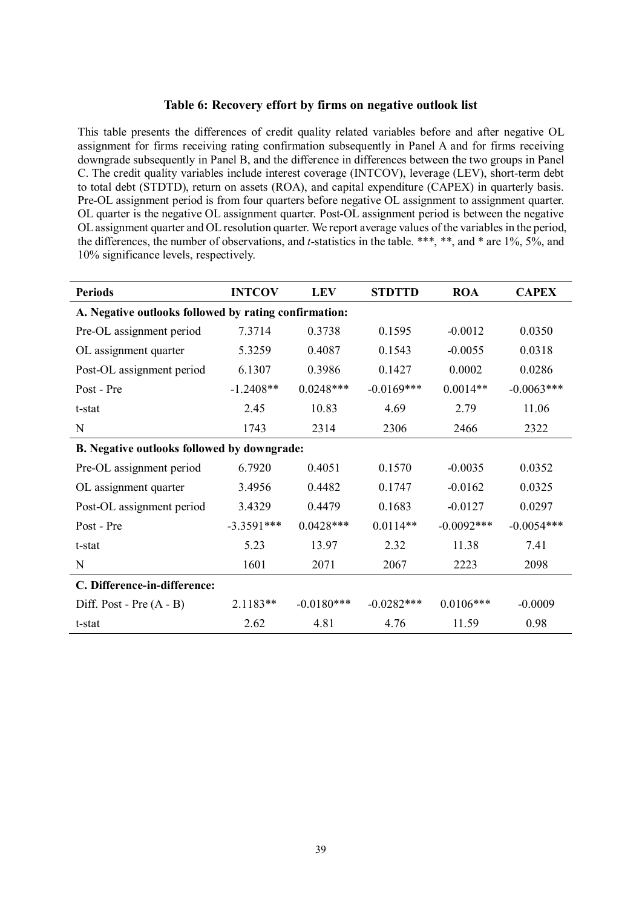#### **Table 6: Recovery effort by firms on negative outlook list**

This table presents the differences of credit quality related variables before and after negative OL assignment for firms receiving rating confirmation subsequently in Panel A and for firms receiving downgrade subsequently in Panel B, and the difference in differences between the two groups in Panel C. The credit quality variables include interest coverage (INTCOV), leverage (LEV), short-term debt to total debt (STDTD), return on assets (ROA), and capital expenditure (CAPEX) in quarterly basis. Pre-OL assignment period is from four quarters before negative OL assignment to assignment quarter. OL quarter is the negative OL assignment quarter. Post-OL assignment period is between the negative OL assignment quarter and OL resolution quarter. We report average values of the variables in the period, the differences, the number of observations, and *t*-statistics in the table. \*\*\*, \*\*, and \* are 1%, 5%, and 10% significance levels, respectively.

| <b>Periods</b>                                        | <b>INTCOV</b> | <b>LEV</b>   | <b>STDTTD</b> | <b>ROA</b>    | <b>CAPEX</b> |
|-------------------------------------------------------|---------------|--------------|---------------|---------------|--------------|
| A. Negative outlooks followed by rating confirmation: |               |              |               |               |              |
| Pre-OL assignment period                              | 7.3714        | 0.3738       | 0.1595        | $-0.0012$     | 0.0350       |
| OL assignment quarter                                 | 5.3259        | 0.4087       | 0.1543        | $-0.0055$     | 0.0318       |
| Post-OL assignment period                             | 6.1307        | 0.3986       | 0.1427        | 0.0002        | 0.0286       |
| Post - Pre                                            | $-1.2408**$   | $0.0248***$  | $-0.0169***$  | $0.0014**$    | $-0.0063***$ |
| t-stat                                                | 2.45          | 10.83        | 4.69          | 2.79          | 11.06        |
| N                                                     | 1743          | 2314         | 2306          | 2466          | 2322         |
| B. Negative outlooks followed by downgrade:           |               |              |               |               |              |
| Pre-OL assignment period                              | 6.7920        | 0.4051       | 0.1570        | $-0.0035$     | 0.0352       |
| OL assignment quarter                                 | 3.4956        | 0.4482       | 0.1747        | $-0.0162$     | 0.0325       |
| Post-OL assignment period                             | 3.4329        | 0.4479       | 0.1683        | $-0.0127$     | 0.0297       |
| Post - Pre                                            | $-3.3591***$  | $0.0428***$  | $0.0114**$    | $-0.0092$ *** | $-0.0054***$ |
| t-stat                                                | 5.23          | 13.97        | 2.32          | 11.38         | 7.41         |
| N                                                     | 1601          | 2071         | 2067          | 2223          | 2098         |
| C. Difference-in-difference:                          |               |              |               |               |              |
| Diff. Post - Pre $(A - B)$                            | $2.1183**$    | $-0.0180***$ | $-0.0282***$  | $0.0106***$   | $-0.0009$    |
| t-stat                                                | 2.62          | 4.81         | 4.76          | 11.59         | 0.98         |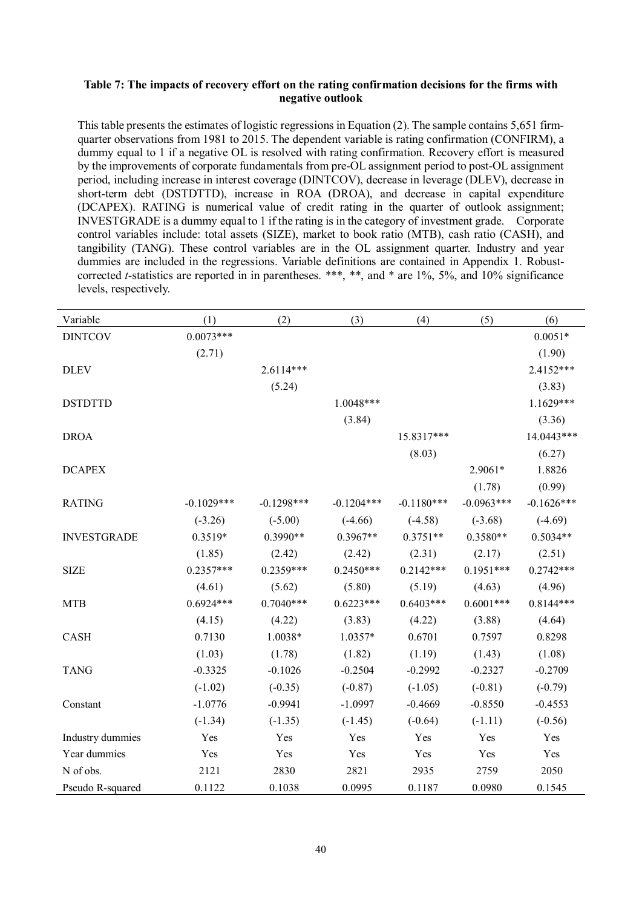#### **Table 7: The impacts of recovery effort on the rating confirmation decisions for the firms with negative outlook**

This table presents the estimates of logistic regressions in Equation (2). The sample contains 5,651 firmquarter observations from 1981 to 2015. The dependent variable is rating confirmation (CONFIRM), a dummy equal to 1 if a negative OL is resolved with rating confirmation. Recovery effort is measured by the improvements of corporate fundamentals from pre-OL assignment period to post-OL assignment period, including increase in interest coverage (DINTCOV), decrease in leverage (DLEV), decrease in short-term debt (DSTDTTD), increase in ROA (DROA), and decrease in capital expenditure (DCAPEX). RATING is numerical value of credit rating in the quarter of outlook assignment; INVESTGRADE is a dummy equal to 1 if the rating is in the category of investment grade. Corporate control variables include: total assets (SIZE), market to book ratio (MTB), cash ratio (CASH), and tangibility (TANG). These control variables are in the OL assignment quarter. Industry and year dummies are included in the regressions. Variable definitions are contained in Appendix 1. Robustcorrected *t*-statistics are reported in in parentheses. \*\*\*, \*\*, and \* are 1%, 5%, and 10% significance levels, respectively.

| Variable           | (1)          | (2)          | (3)          | (4)          | (5)          | (6)          |
|--------------------|--------------|--------------|--------------|--------------|--------------|--------------|
| <b>DINTCOV</b>     | $0.0073***$  |              |              |              |              | $0.0051*$    |
|                    | (2.71)       |              |              |              |              | (1.90)       |
| <b>DLEV</b>        |              | $2.6114***$  |              |              |              | 2.4152***    |
|                    |              | (5.24)       |              |              |              | (3.83)       |
| <b>DSTDTTD</b>     |              |              | 1.0048***    |              |              | $1.1629***$  |
|                    |              |              | (3.84)       |              |              | (3.36)       |
| <b>DROA</b>        |              |              |              | 15.8317***   |              | 14.0443***   |
|                    |              |              |              | (8.03)       |              | (6.27)       |
| <b>DCAPEX</b>      |              |              |              |              | 2.9061*      | 1.8826       |
|                    |              |              |              |              | (1.78)       | (0.99)       |
| <b>RATING</b>      | $-0.1029***$ | $-0.1298***$ | $-0.1204***$ | $-0.1180***$ | $-0.0963***$ | $-0.1626***$ |
|                    | $(-3.26)$    | $(-5.00)$    | $(-4.66)$    | $(-4.58)$    | $(-3.68)$    | $(-4.69)$    |
| <b>INVESTGRADE</b> | 0.3519*      | $0.3990**$   | $0.3967**$   | $0.3751**$   | $0.3580**$   | $0.5034**$   |
|                    | (1.85)       | (2.42)       | (2.42)       | (2.31)       | (2.17)       | (2.51)       |
| <b>SIZE</b>        | $0.2357***$  | $0.2359***$  | $0.2450***$  | $0.2142***$  | $0.1951***$  | $0.2742***$  |
|                    | (4.61)       | (5.62)       | (5.80)       | (5.19)       | (4.63)       | (4.96)       |
| <b>MTB</b>         | $0.6924***$  | $0.7040***$  | $0.6223***$  | $0.6403***$  | $0.6001***$  | $0.8144***$  |
|                    | (4.15)       | (4.22)       | (3.83)       | (4.22)       | (3.88)       | (4.64)       |
| <b>CASH</b>        | 0.7130       | 1.0038*      | 1.0357*      | 0.6701       | 0.7597       | 0.8298       |
|                    | (1.03)       | (1.78)       | (1.82)       | (1.19)       | (1.43)       | (1.08)       |
| <b>TANG</b>        | $-0.3325$    | $-0.1026$    | $-0.2504$    | $-0.2992$    | $-0.2327$    | $-0.2709$    |
|                    | $(-1.02)$    | $(-0.35)$    | $(-0.87)$    | $(-1.05)$    | $(-0.81)$    | $(-0.79)$    |
| Constant           | $-1.0776$    | $-0.9941$    | $-1.0997$    | $-0.4669$    | $-0.8550$    | $-0.4553$    |
|                    | $(-1.34)$    | $(-1.35)$    | $(-1.45)$    | $(-0.64)$    | $(-1.11)$    | $(-0.56)$    |
| Industry dummies   | Yes          | Yes          | Yes          | Yes          | Yes          | Yes          |
| Year dummies       | Yes          | Yes          | Yes          | Yes          | Yes          | Yes          |
| N of obs.          | 2121         | 2830         | 2821         | 2935         | 2759         | 2050         |
| Pseudo R-squared   | 0.1122       | 0.1038       | 0.0995       | 0.1187       | 0.0980       | 0.1545       |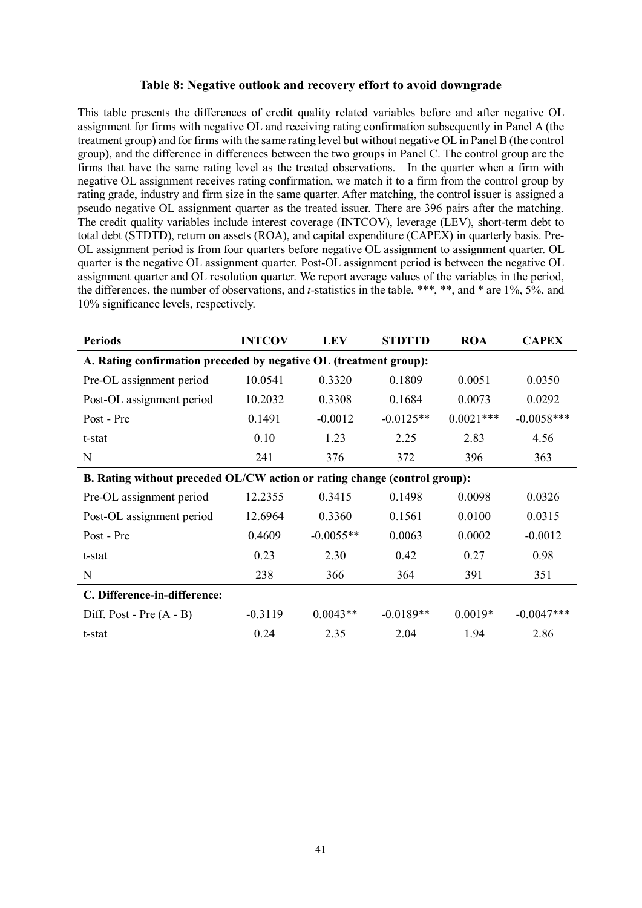#### **Table 8: Negative outlook and recovery effort to avoid downgrade**

This table presents the differences of credit quality related variables before and after negative OL assignment for firms with negative OL and receiving rating confirmation subsequently in Panel A (the treatment group) and for firms with the same rating level but without negative OL in Panel B (the control group), and the difference in differences between the two groups in Panel C. The control group are the firms that have the same rating level as the treated observations. In the quarter when a firm with negative OL assignment receives rating confirmation, we match it to a firm from the control group by rating grade, industry and firm size in the same quarter. After matching, the control issuer is assigned a pseudo negative OL assignment quarter as the treated issuer. There are 396 pairs after the matching. The credit quality variables include interest coverage (INTCOV), leverage (LEV), short-term debt to total debt (STDTD), return on assets (ROA), and capital expenditure (CAPEX) in quarterly basis. Pre-OL assignment period is from four quarters before negative OL assignment to assignment quarter. OL quarter is the negative OL assignment quarter. Post-OL assignment period is between the negative OL assignment quarter and OL resolution quarter. We report average values of the variables in the period, the differences, the number of observations, and *t*-statistics in the table. \*\*\*, \*\*, and \* are 1%, 5%, and 10% significance levels, respectively.

| <b>Periods</b>                                                            | <b>INTCOV</b> | <b>LEV</b>  | <b>STDTTD</b> | <b>ROA</b>  | <b>CAPEX</b> |  |  |  |
|---------------------------------------------------------------------------|---------------|-------------|---------------|-------------|--------------|--|--|--|
| A. Rating confirmation preceded by negative OL (treatment group):         |               |             |               |             |              |  |  |  |
| Pre-OL assignment period                                                  | 10.0541       | 0.3320      | 0.1809        | 0.0051      | 0.0350       |  |  |  |
| Post-OL assignment period                                                 | 10.2032       | 0.3308      | 0.1684        | 0.0073      | 0.0292       |  |  |  |
| Post - Pre                                                                | 0.1491        | $-0.0012$   | $-0.0125**$   | $0.0021***$ | $-0.0058***$ |  |  |  |
| t-stat                                                                    | 0.10          | 1.23        | 2.25          | 2.83        | 4.56         |  |  |  |
| N                                                                         | 241           | 376         | 372           | 396         | 363          |  |  |  |
| B. Rating without preceded OL/CW action or rating change (control group): |               |             |               |             |              |  |  |  |
| Pre-OL assignment period                                                  | 12.2355       | 0.3415      | 0.1498        | 0.0098      | 0.0326       |  |  |  |
| Post-OL assignment period                                                 | 12.6964       | 0.3360      | 0.1561        | 0.0100      | 0.0315       |  |  |  |
| Post - Pre                                                                | 0.4609        | $-0.0055**$ | 0.0063        | 0.0002      | $-0.0012$    |  |  |  |
| t-stat                                                                    | 0.23          | 2.30        | 0.42          | 0.27        | 0.98         |  |  |  |
| N                                                                         | 238           | 366         | 364           | 391         | 351          |  |  |  |
| C. Difference-in-difference:                                              |               |             |               |             |              |  |  |  |
| Diff. Post - Pre $(A - B)$                                                | $-0.3119$     | $0.0043**$  | $-0.0189**$   | $0.0019*$   | $-0.0047***$ |  |  |  |
| t-stat                                                                    | 0.24          | 2.35        | 2.04          | 1.94        | 2.86         |  |  |  |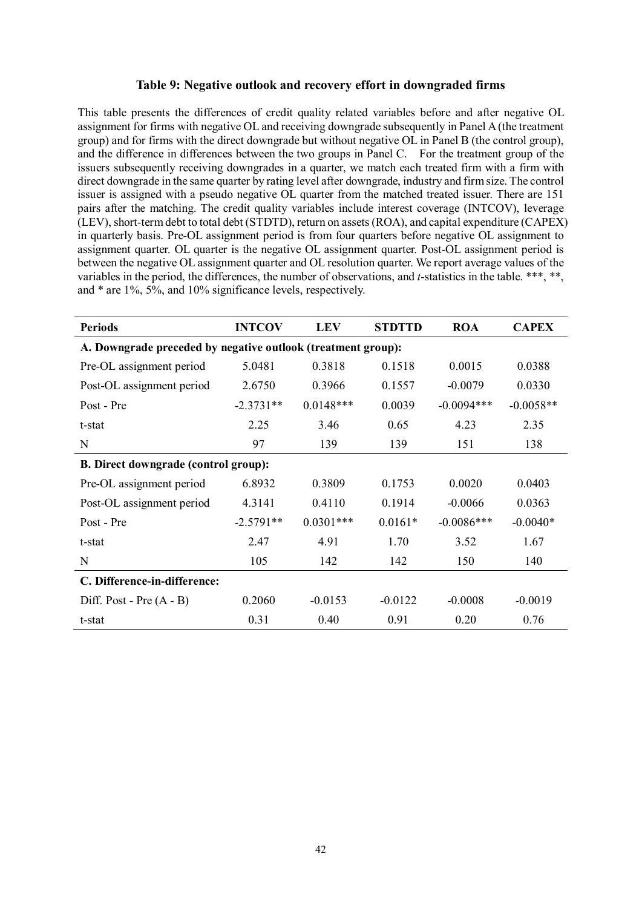#### **Table 9: Negative outlook and recovery effort in downgraded firms**

This table presents the differences of credit quality related variables before and after negative OL assignment for firms with negative OL and receiving downgrade subsequently in Panel A(the treatment group) and for firms with the direct downgrade but without negative OL in Panel B (the control group), and the difference in differences between the two groups in Panel C. For the treatment group of the issuers subsequently receiving downgrades in a quarter, we match each treated firm with a firm with direct downgrade in the same quarter by rating level after downgrade, industry and firm size. The control issuer is assigned with a pseudo negative OL quarter from the matched treated issuer. There are 151 pairs after the matching. The credit quality variables include interest coverage (INTCOV), leverage (LEV), short-term debt to total debt (STDTD), return on assets (ROA), and capital expenditure (CAPEX) in quarterly basis. Pre-OL assignment period is from four quarters before negative OL assignment to assignment quarter. OL quarter is the negative OL assignment quarter. Post-OL assignment period is between the negative OL assignment quarter and OL resolution quarter. We report average values of the variables in the period, the differences, the number of observations, and *t*-statistics in the table. \*\*\*, \*\*, and \* are 1%, 5%, and 10% significance levels, respectively.

| <b>Periods</b>                                               | <b>INTCOV</b> | <b>LEV</b>  | <b>STDTTD</b> | <b>ROA</b>   | <b>CAPEX</b> |  |  |  |  |
|--------------------------------------------------------------|---------------|-------------|---------------|--------------|--------------|--|--|--|--|
| A. Downgrade preceded by negative outlook (treatment group): |               |             |               |              |              |  |  |  |  |
| Pre-OL assignment period                                     | 5.0481        | 0.3818      | 0.1518        | 0.0015       | 0.0388       |  |  |  |  |
| Post-OL assignment period                                    | 2.6750        | 0.3966      | 0.1557        | $-0.0079$    | 0.0330       |  |  |  |  |
| Post - Pre                                                   | $-2.3731**$   | $0.0148***$ | 0.0039        | $-0.0094***$ | $-0.0058**$  |  |  |  |  |
| t-stat                                                       | 2.25          | 3.46        | 0.65          | 4.23         | 2.35         |  |  |  |  |
| N                                                            | 97            | 139         | 139           | 151          | 138          |  |  |  |  |
| <b>B. Direct downgrade (control group):</b>                  |               |             |               |              |              |  |  |  |  |
| Pre-OL assignment period                                     | 6.8932        | 0.3809      | 0.1753        | 0.0020       | 0.0403       |  |  |  |  |
| Post-OL assignment period                                    | 4.3141        | 0.4110      | 0.1914        | $-0.0066$    | 0.0363       |  |  |  |  |
| Post - Pre                                                   | $-2.5791**$   | $0.0301***$ | $0.0161*$     | $-0.0086***$ | $-0.0040*$   |  |  |  |  |
| t-stat                                                       | 2.47          | 4.91        | 1.70          | 3.52         | 1.67         |  |  |  |  |
| N                                                            | 105           | 142         | 142           | 150          | 140          |  |  |  |  |
| C. Difference-in-difference:                                 |               |             |               |              |              |  |  |  |  |
| Diff. Post - Pre $(A - B)$                                   | 0.2060        | $-0.0153$   | $-0.0122$     | $-0.0008$    | $-0.0019$    |  |  |  |  |
| t-stat                                                       | 0.31          | 0.40        | 0.91          | 0.20         | 0.76         |  |  |  |  |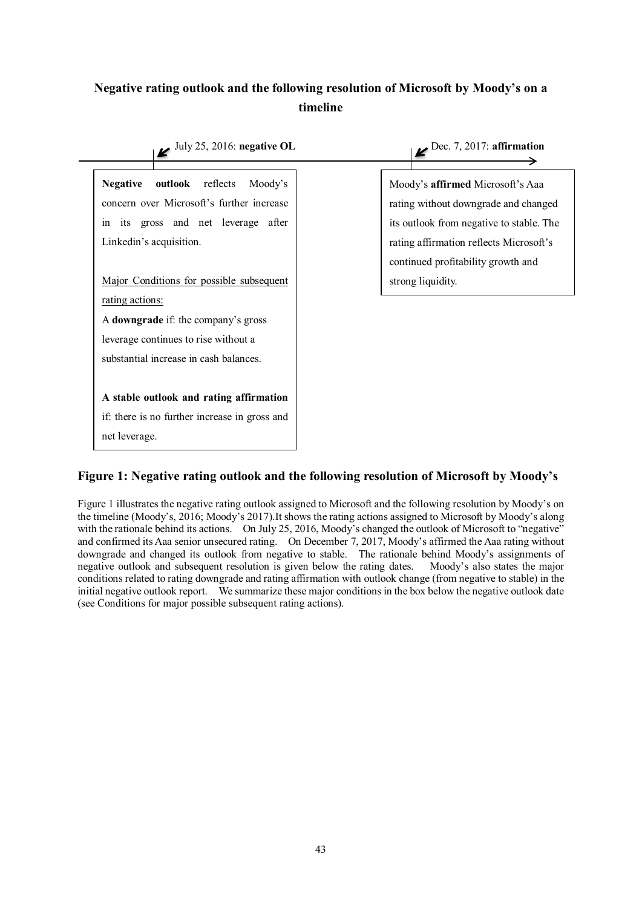## **Negative rating outlook and the following resolution of Microsoft by Moody's on a timeline**



## **Figure 1: Negative rating outlook and the following resolution of Microsoft by Moody's**

Figure 1 illustrates the negative rating outlook assigned to Microsoft and the following resolution by Moody's on the timeline (Moody's, 2016; Moody's 2017).It shows the rating actions assigned to Microsoft by Moody's along with the rationale behind its actions. On July 25, 2016, Moody's changed the outlook of Microsoft to "negative" and confirmed its Aaa senior unsecured rating. On December 7, 2017, Moody's affirmed the Aaa rating without downgrade and changed its outlook from negative to stable. The rationale behind Moody's assignments of negative outlook and subsequent resolution is given below the rating dates. Moody's also states the major conditions related to rating downgrade and rating affirmation with outlook change (from negative to stable) in the initial negative outlook report. We summarize these major conditions in the box below the negative outlook date (see Conditions for major possible subsequent rating actions).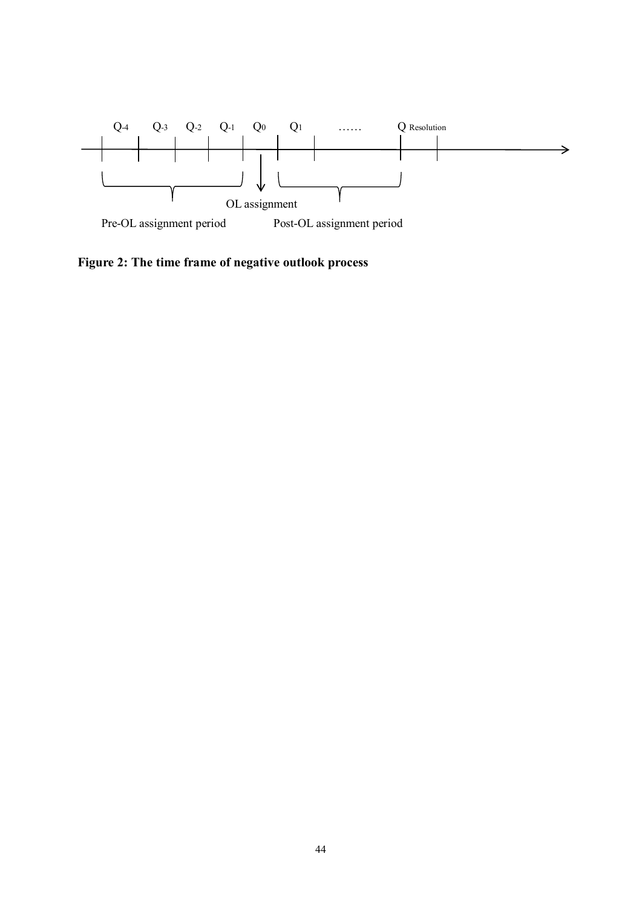

**Figure 2: The time frame of negative outlook process**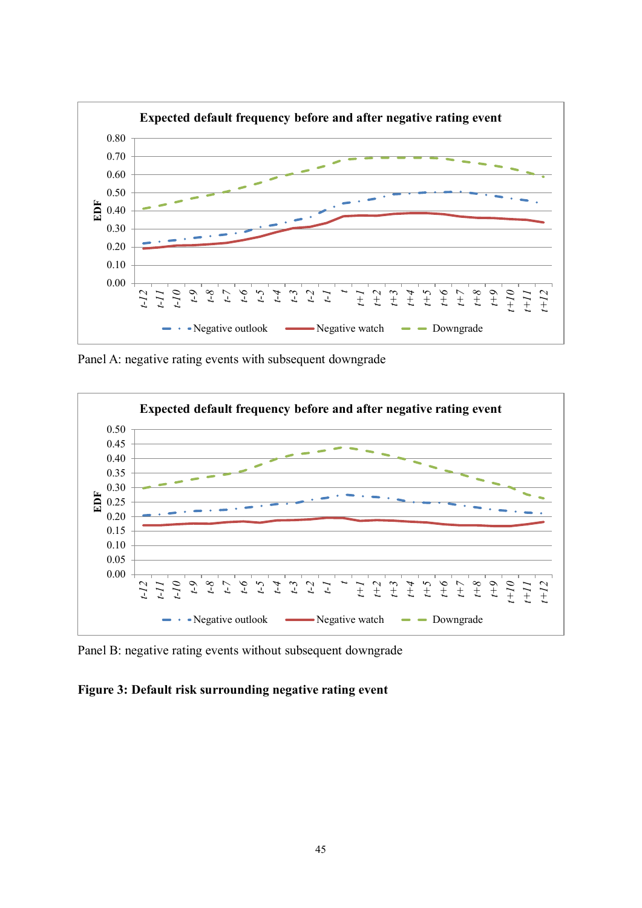

Panel A: negative rating events with subsequent downgrade



Panel B: negative rating events without subsequent downgrade

## **Figure 3: Default risk surrounding negative rating event**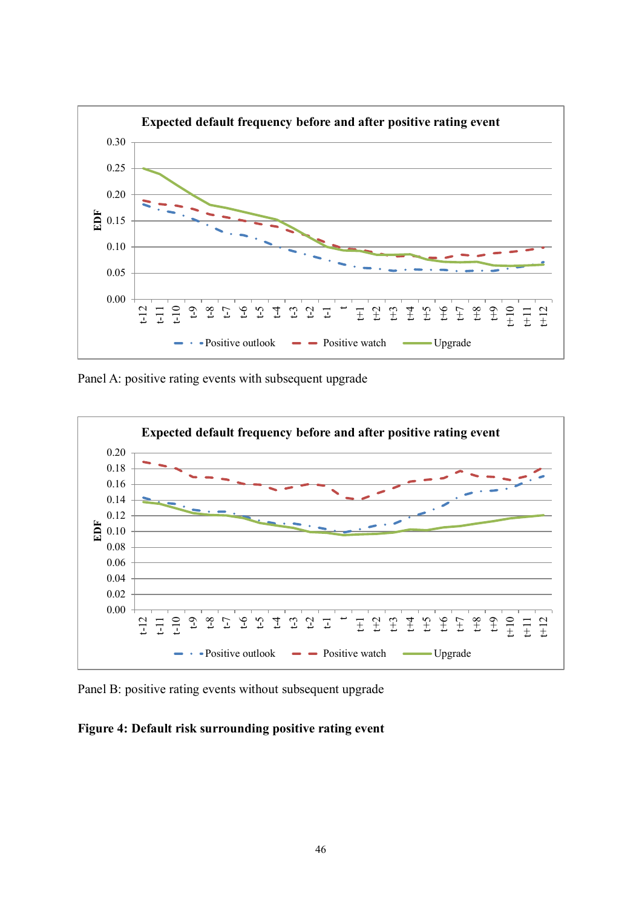

Panel A: positive rating events with subsequent upgrade



Panel B: positive rating events without subsequent upgrade

## **Figure 4: Default risk surrounding positive rating event**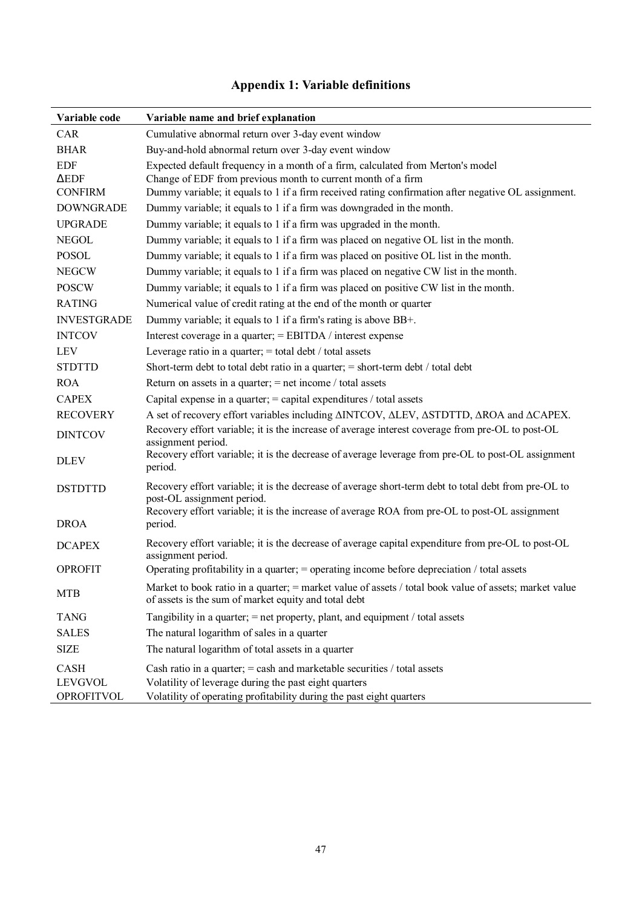# **Appendix 1: Variable definitions**

| Variable code                                | Variable name and brief explanation                                                                                                                                                                                                                    |
|----------------------------------------------|--------------------------------------------------------------------------------------------------------------------------------------------------------------------------------------------------------------------------------------------------------|
| CAR                                          | Cumulative abnormal return over 3-day event window                                                                                                                                                                                                     |
| <b>BHAR</b>                                  | Buy-and-hold abnormal return over 3-day event window                                                                                                                                                                                                   |
| <b>EDF</b><br>$\Delta EDF$<br><b>CONFIRM</b> | Expected default frequency in a month of a firm, calculated from Merton's model<br>Change of EDF from previous month to current month of a firm<br>Dummy variable; it equals to 1 if a firm received rating confirmation after negative OL assignment. |
| <b>DOWNGRADE</b>                             | Dummy variable; it equals to 1 if a firm was downgraded in the month.                                                                                                                                                                                  |
| <b>UPGRADE</b>                               | Dummy variable; it equals to 1 if a firm was upgraded in the month.                                                                                                                                                                                    |
| <b>NEGOL</b>                                 | Dummy variable; it equals to 1 if a firm was placed on negative OL list in the month.                                                                                                                                                                  |
| <b>POSOL</b>                                 | Dummy variable; it equals to 1 if a firm was placed on positive OL list in the month.                                                                                                                                                                  |
| <b>NEGCW</b>                                 | Dummy variable; it equals to 1 if a firm was placed on negative CW list in the month.                                                                                                                                                                  |
| <b>POSCW</b>                                 | Dummy variable; it equals to 1 if a firm was placed on positive CW list in the month.                                                                                                                                                                  |
| <b>RATING</b>                                | Numerical value of credit rating at the end of the month or quarter                                                                                                                                                                                    |
| <b>INVESTGRADE</b>                           | Dummy variable; it equals to 1 if a firm's rating is above BB+.                                                                                                                                                                                        |
| <b>INTCOV</b>                                | Interest coverage in a quarter; = EBITDA / interest expense                                                                                                                                                                                            |
| <b>LEV</b>                                   | Leverage ratio in a quarter; $=$ total debt / total assets                                                                                                                                                                                             |
| <b>STDTTD</b>                                | Short-term debt to total debt ratio in a quarter; $=$ short-term debt / total debt                                                                                                                                                                     |
| <b>ROA</b>                                   | Return on assets in a quarter; $=$ net income / total assets                                                                                                                                                                                           |
| <b>CAPEX</b>                                 | Capital expense in a quarter; $=$ capital expenditures / total assets                                                                                                                                                                                  |
| <b>RECOVERY</b>                              | A set of recovery effort variables including $\triangle INTCOV$ , $\triangle LEV$ , $\triangle STDTTD$ , $\triangle ROA$ and $\triangle CAPEX$ .                                                                                                       |
| <b>DINTCOV</b>                               | Recovery effort variable; it is the increase of average interest coverage from pre-OL to post-OL<br>assignment period.                                                                                                                                 |
| <b>DLEV</b>                                  | Recovery effort variable; it is the decrease of average leverage from pre-OL to post-OL assignment<br>period.                                                                                                                                          |
| <b>DSTDTTD</b>                               | Recovery effort variable; it is the decrease of average short-term debt to total debt from pre-OL to<br>post-OL assignment period.                                                                                                                     |
| <b>DROA</b>                                  | Recovery effort variable; it is the increase of average ROA from pre-OL to post-OL assignment<br>period.                                                                                                                                               |
| <b>DCAPEX</b>                                | Recovery effort variable; it is the decrease of average capital expenditure from pre-OL to post-OL<br>assignment period.                                                                                                                               |
| <b>OPROFIT</b>                               | Operating profitability in a quarter; $=$ operating income before depreciation / total assets                                                                                                                                                          |
| <b>MTB</b>                                   | Market to book ratio in a quarter; = market value of assets / total book value of assets; market value<br>of assets is the sum of market equity and total debt                                                                                         |
| <b>TANG</b>                                  | Tangibility in a quarter; $=$ net property, plant, and equipment / total assets                                                                                                                                                                        |
| <b>SALES</b>                                 | The natural logarithm of sales in a quarter                                                                                                                                                                                                            |
| <b>SIZE</b>                                  | The natural logarithm of total assets in a quarter                                                                                                                                                                                                     |
| <b>CASH</b>                                  | Cash ratio in a quarter; $=$ cash and marketable securities / total assets                                                                                                                                                                             |
| <b>LEVGVOL</b>                               | Volatility of leverage during the past eight quarters                                                                                                                                                                                                  |
| <b>OPROFITVOL</b>                            | Volatility of operating profitability during the past eight quarters                                                                                                                                                                                   |